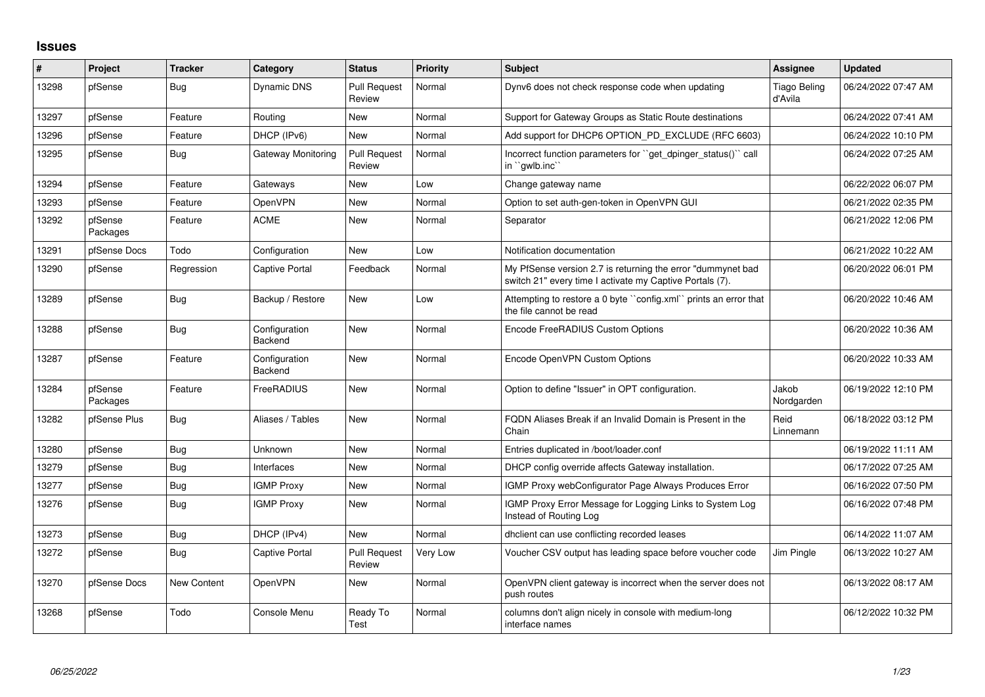## **Issues**

| #     | Project             | <b>Tracker</b> | Category                 | <b>Status</b>                 | <b>Priority</b> | <b>Subject</b>                                                                                                           | <b>Assignee</b>                | <b>Updated</b>      |
|-------|---------------------|----------------|--------------------------|-------------------------------|-----------------|--------------------------------------------------------------------------------------------------------------------------|--------------------------------|---------------------|
| 13298 | pfSense             | <b>Bug</b>     | <b>Dynamic DNS</b>       | <b>Pull Request</b><br>Review | Normal          | Dynv6 does not check response code when updating                                                                         | <b>Tiago Beling</b><br>d'Avila | 06/24/2022 07:47 AM |
| 13297 | pfSense             | Feature        | Routing                  | New                           | Normal          | Support for Gateway Groups as Static Route destinations                                                                  |                                | 06/24/2022 07:41 AM |
| 13296 | pfSense             | Feature        | DHCP (IPv6)              | <b>New</b>                    | Normal          | Add support for DHCP6 OPTION PD EXCLUDE (RFC 6603)                                                                       |                                | 06/24/2022 10:10 PM |
| 13295 | pfSense             | Bug            | Gateway Monitoring       | <b>Pull Request</b><br>Review | Normal          | Incorrect function parameters for "get dpinger status()" call<br>in "gwlb.inc"                                           |                                | 06/24/2022 07:25 AM |
| 13294 | pfSense             | Feature        | Gateways                 | New                           | Low             | Change gateway name                                                                                                      |                                | 06/22/2022 06:07 PM |
| 13293 | pfSense             | Feature        | OpenVPN                  | <b>New</b>                    | Normal          | Option to set auth-gen-token in OpenVPN GUI                                                                              |                                | 06/21/2022 02:35 PM |
| 13292 | pfSense<br>Packages | Feature        | <b>ACME</b>              | New                           | Normal          | Separator                                                                                                                |                                | 06/21/2022 12:06 PM |
| 13291 | pfSense Docs        | Todo           | Configuration            | <b>New</b>                    | Low             | Notification documentation                                                                                               |                                | 06/21/2022 10:22 AM |
| 13290 | pfSense             | Regression     | Captive Portal           | Feedback                      | Normal          | My PfSense version 2.7 is returning the error "dummynet bad"<br>switch 21" every time I activate my Captive Portals (7). |                                | 06/20/2022 06:01 PM |
| 13289 | pfSense             | <b>Bug</b>     | Backup / Restore         | New                           | Low             | Attempting to restore a 0 byte "config.xml" prints an error that<br>the file cannot be read                              |                                | 06/20/2022 10:46 AM |
| 13288 | pfSense             | <b>Bug</b>     | Configuration<br>Backend | New                           | Normal          | Encode FreeRADIUS Custom Options                                                                                         |                                | 06/20/2022 10:36 AM |
| 13287 | pfSense             | Feature        | Configuration<br>Backend | New                           | Normal          | Encode OpenVPN Custom Options                                                                                            |                                | 06/20/2022 10:33 AM |
| 13284 | pfSense<br>Packages | Feature        | FreeRADIUS               | New                           | Normal          | Option to define "Issuer" in OPT configuration.                                                                          | Jakob<br>Nordgarden            | 06/19/2022 12:10 PM |
| 13282 | pfSense Plus        | Bug            | Aliases / Tables         | New                           | Normal          | FQDN Aliases Break if an Invalid Domain is Present in the<br>Chain                                                       | Reid<br>Linnemann              | 06/18/2022 03:12 PM |
| 13280 | pfSense             | Bug            | Unknown                  | New                           | Normal          | Entries duplicated in /boot/loader.conf                                                                                  |                                | 06/19/2022 11:11 AM |
| 13279 | pfSense             | <b>Bug</b>     | Interfaces               | New                           | Normal          | DHCP config override affects Gateway installation.                                                                       |                                | 06/17/2022 07:25 AM |
| 13277 | pfSense             | <b>Bug</b>     | <b>IGMP Proxy</b>        | New                           | Normal          | IGMP Proxy webConfigurator Page Always Produces Error                                                                    |                                | 06/16/2022 07:50 PM |
| 13276 | pfSense             | <b>Bug</b>     | <b>IGMP Proxy</b>        | New                           | Normal          | IGMP Proxy Error Message for Logging Links to System Log<br>Instead of Routing Log                                       |                                | 06/16/2022 07:48 PM |
| 13273 | pfSense             | Bug            | DHCP (IPv4)              | <b>New</b>                    | Normal          | dhclient can use conflicting recorded leases                                                                             |                                | 06/14/2022 11:07 AM |
| 13272 | pfSense             | <b>Bug</b>     | Captive Portal           | <b>Pull Request</b><br>Review | Very Low        | Voucher CSV output has leading space before voucher code                                                                 | Jim Pingle                     | 06/13/2022 10:27 AM |
| 13270 | pfSense Docs        | New Content    | OpenVPN                  | New                           | Normal          | OpenVPN client gateway is incorrect when the server does not<br>push routes                                              |                                | 06/13/2022 08:17 AM |
| 13268 | pfSense             | Todo           | Console Menu             | Ready To<br>Test              | Normal          | columns don't align nicely in console with medium-long<br>interface names                                                |                                | 06/12/2022 10:32 PM |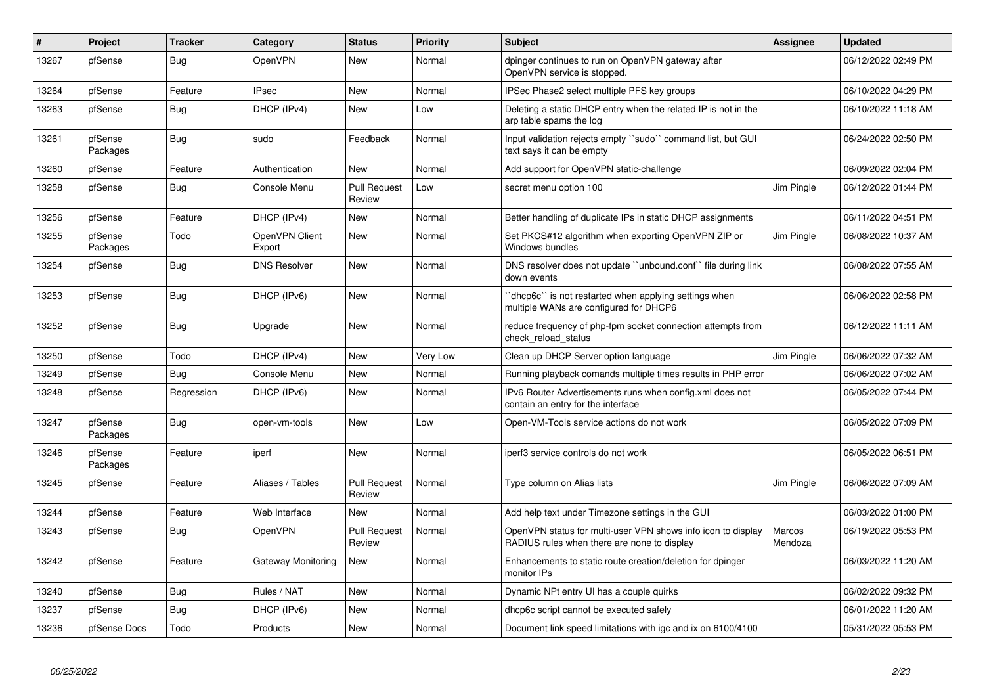| #     | Project             | <b>Tracker</b> | Category                 | <b>Status</b>                 | <b>Priority</b> | <b>Subject</b>                                                                                              | Assignee          | <b>Updated</b>      |
|-------|---------------------|----------------|--------------------------|-------------------------------|-----------------|-------------------------------------------------------------------------------------------------------------|-------------------|---------------------|
| 13267 | pfSense             | <b>Bug</b>     | <b>OpenVPN</b>           | <b>New</b>                    | Normal          | dpinger continues to run on OpenVPN gateway after<br>OpenVPN service is stopped.                            |                   | 06/12/2022 02:49 PM |
| 13264 | pfSense             | Feature        | <b>IPsec</b>             | New                           | Normal          | IPSec Phase2 select multiple PFS key groups                                                                 |                   | 06/10/2022 04:29 PM |
| 13263 | pfSense             | Bug            | DHCP (IPv4)              | New                           | Low             | Deleting a static DHCP entry when the related IP is not in the<br>arp table spams the log                   |                   | 06/10/2022 11:18 AM |
| 13261 | pfSense<br>Packages | Bug            | sudo                     | Feedback                      | Normal          | Input validation rejects empty "sudo" command list, but GUI<br>text says it can be empty                    |                   | 06/24/2022 02:50 PM |
| 13260 | pfSense             | Feature        | Authentication           | New                           | Normal          | Add support for OpenVPN static-challenge                                                                    |                   | 06/09/2022 02:04 PM |
| 13258 | pfSense             | <b>Bug</b>     | Console Menu             | <b>Pull Request</b><br>Review | Low             | secret menu option 100                                                                                      | Jim Pingle        | 06/12/2022 01:44 PM |
| 13256 | pfSense             | Feature        | DHCP (IPv4)              | New                           | Normal          | Better handling of duplicate IPs in static DHCP assignments                                                 |                   | 06/11/2022 04:51 PM |
| 13255 | pfSense<br>Packages | Todo           | OpenVPN Client<br>Export | New                           | Normal          | Set PKCS#12 algorithm when exporting OpenVPN ZIP or<br>Windows bundles                                      | Jim Pingle        | 06/08/2022 10:37 AM |
| 13254 | pfSense             | Bug            | <b>DNS Resolver</b>      | New                           | Normal          | DNS resolver does not update "unbound.conf" file during link<br>down events                                 |                   | 06/08/2022 07:55 AM |
| 13253 | pfSense             | Bug            | DHCP (IPv6)              | New                           | Normal          | 'dhcp6c' is not restarted when applying settings when<br>multiple WANs are configured for DHCP6             |                   | 06/06/2022 02:58 PM |
| 13252 | pfSense             | Bug            | Upgrade                  | New                           | Normal          | reduce frequency of php-fpm socket connection attempts from<br>check reload status                          |                   | 06/12/2022 11:11 AM |
| 13250 | pfSense             | Todo           | DHCP (IPv4)              | New                           | Very Low        | Clean up DHCP Server option language                                                                        | Jim Pingle        | 06/06/2022 07:32 AM |
| 13249 | pfSense             | <b>Bug</b>     | Console Menu             | New                           | Normal          | Running playback comands multiple times results in PHP error                                                |                   | 06/06/2022 07:02 AM |
| 13248 | pfSense             | Regression     | DHCP (IPv6)              | New                           | Normal          | IPv6 Router Advertisements runs when config.xml does not<br>contain an entry for the interface              |                   | 06/05/2022 07:44 PM |
| 13247 | pfSense<br>Packages | Bug            | open-vm-tools            | New                           | Low             | Open-VM-Tools service actions do not work                                                                   |                   | 06/05/2022 07:09 PM |
| 13246 | pfSense<br>Packages | Feature        | iperf                    | New                           | Normal          | iperf3 service controls do not work                                                                         |                   | 06/05/2022 06:51 PM |
| 13245 | pfSense             | Feature        | Aliases / Tables         | <b>Pull Request</b><br>Review | Normal          | Type column on Alias lists                                                                                  | Jim Pingle        | 06/06/2022 07:09 AM |
| 13244 | pfSense             | Feature        | Web Interface            | New                           | Normal          | Add help text under Timezone settings in the GUI                                                            |                   | 06/03/2022 01:00 PM |
| 13243 | pfSense             | Bug            | OpenVPN                  | <b>Pull Request</b><br>Review | Normal          | OpenVPN status for multi-user VPN shows info icon to display<br>RADIUS rules when there are none to display | Marcos<br>Mendoza | 06/19/2022 05:53 PM |
| 13242 | pfSense             | Feature        | Gateway Monitoring       | New                           | Normal          | Enhancements to static route creation/deletion for dpinger<br>monitor IPs                                   |                   | 06/03/2022 11:20 AM |
| 13240 | pfSense             | Bug            | Rules / NAT              | New                           | Normal          | Dynamic NPt entry UI has a couple quirks                                                                    |                   | 06/02/2022 09:32 PM |
| 13237 | pfSense             | Bug            | DHCP (IPv6)              | New                           | Normal          | dhcp6c script cannot be executed safely                                                                     |                   | 06/01/2022 11:20 AM |
| 13236 | pfSense Docs        | Todo           | Products                 | New                           | Normal          | Document link speed limitations with igc and ix on 6100/4100                                                |                   | 05/31/2022 05:53 PM |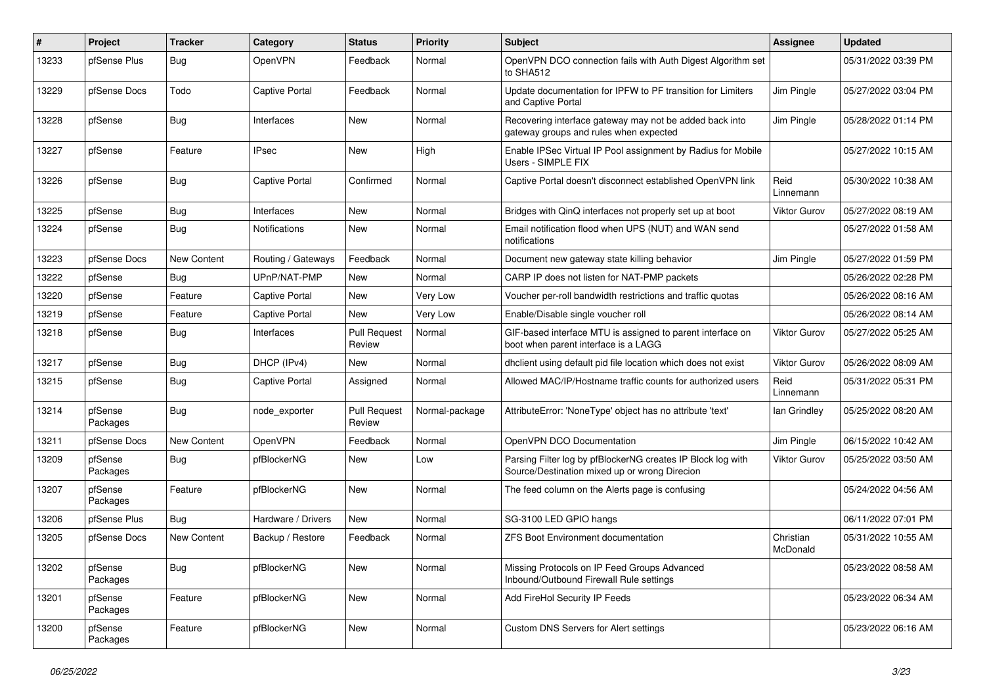| #     | Project             | <b>Tracker</b> | Category              | <b>Status</b>                 | <b>Priority</b> | <b>Subject</b>                                                                                               | <b>Assignee</b>       | <b>Updated</b>      |
|-------|---------------------|----------------|-----------------------|-------------------------------|-----------------|--------------------------------------------------------------------------------------------------------------|-----------------------|---------------------|
| 13233 | pfSense Plus        | <b>Bug</b>     | OpenVPN               | Feedback                      | Normal          | OpenVPN DCO connection fails with Auth Digest Algorithm set<br>to SHA512                                     |                       | 05/31/2022 03:39 PM |
| 13229 | pfSense Docs        | Todo           | <b>Captive Portal</b> | Feedback                      | Normal          | Update documentation for IPFW to PF transition for Limiters<br>and Captive Portal                            | Jim Pingle            | 05/27/2022 03:04 PM |
| 13228 | pfSense             | <b>Bug</b>     | Interfaces            | <b>New</b>                    | Normal          | Recovering interface gateway may not be added back into<br>gateway groups and rules when expected            | Jim Pingle            | 05/28/2022 01:14 PM |
| 13227 | pfSense             | Feature        | <b>IPsec</b>          | New                           | High            | Enable IPSec Virtual IP Pool assignment by Radius for Mobile<br>Users - SIMPLE FIX                           |                       | 05/27/2022 10:15 AM |
| 13226 | pfSense             | <b>Bug</b>     | <b>Captive Portal</b> | Confirmed                     | Normal          | Captive Portal doesn't disconnect established OpenVPN link                                                   | Reid<br>Linnemann     | 05/30/2022 10:38 AM |
| 13225 | pfSense             | Bug            | Interfaces            | <b>New</b>                    | Normal          | Bridges with QinQ interfaces not properly set up at boot                                                     | Viktor Gurov          | 05/27/2022 08:19 AM |
| 13224 | pfSense             | <b>Bug</b>     | <b>Notifications</b>  | New                           | Normal          | Email notification flood when UPS (NUT) and WAN send<br>notifications                                        |                       | 05/27/2022 01:58 AM |
| 13223 | pfSense Docs        | New Content    | Routing / Gateways    | Feedback                      | Normal          | Document new gateway state killing behavior                                                                  | Jim Pingle            | 05/27/2022 01:59 PM |
| 13222 | pfSense             | <b>Bug</b>     | UPnP/NAT-PMP          | <b>New</b>                    | Normal          | CARP IP does not listen for NAT-PMP packets                                                                  |                       | 05/26/2022 02:28 PM |
| 13220 | pfSense             | Feature        | <b>Captive Portal</b> | New                           | Very Low        | Voucher per-roll bandwidth restrictions and traffic quotas                                                   |                       | 05/26/2022 08:16 AM |
| 13219 | pfSense             | Feature        | <b>Captive Portal</b> | <b>New</b>                    | Very Low        | Enable/Disable single voucher roll                                                                           |                       | 05/26/2022 08:14 AM |
| 13218 | pfSense             | <b>Bug</b>     | Interfaces            | <b>Pull Request</b><br>Review | Normal          | GIF-based interface MTU is assigned to parent interface on<br>boot when parent interface is a LAGG           | Viktor Gurov          | 05/27/2022 05:25 AM |
| 13217 | pfSense             | Bug            | DHCP (IPv4)           | New                           | Normal          | dhclient using default pid file location which does not exist                                                | Viktor Gurov          | 05/26/2022 08:09 AM |
| 13215 | pfSense             | <b>Bug</b>     | <b>Captive Portal</b> | Assigned                      | Normal          | Allowed MAC/IP/Hostname traffic counts for authorized users                                                  | Reid<br>Linnemann     | 05/31/2022 05:31 PM |
| 13214 | pfSense<br>Packages | <b>Bug</b>     | node_exporter         | <b>Pull Request</b><br>Review | Normal-package  | AttributeError: 'NoneType' object has no attribute 'text'                                                    | lan Grindley          | 05/25/2022 08:20 AM |
| 13211 | pfSense Docs        | New Content    | OpenVPN               | Feedback                      | Normal          | OpenVPN DCO Documentation                                                                                    | Jim Pingle            | 06/15/2022 10:42 AM |
| 13209 | pfSense<br>Packages | Bug            | pfBlockerNG           | <b>New</b>                    | Low             | Parsing Filter log by pfBlockerNG creates IP Block log with<br>Source/Destination mixed up or wrong Direcion | Viktor Gurov          | 05/25/2022 03:50 AM |
| 13207 | pfSense<br>Packages | Feature        | pfBlockerNG           | <b>New</b>                    | Normal          | The feed column on the Alerts page is confusing                                                              |                       | 05/24/2022 04:56 AM |
| 13206 | pfSense Plus        | <b>Bug</b>     | Hardware / Drivers    | New                           | Normal          | SG-3100 LED GPIO hangs                                                                                       |                       | 06/11/2022 07:01 PM |
| 13205 | pfSense Docs        | New Content    | Backup / Restore      | Feedback                      | Normal          | <b>ZFS Boot Environment documentation</b>                                                                    | Christian<br>McDonald | 05/31/2022 10:55 AM |
| 13202 | pfSense<br>Packages | <b>Bug</b>     | pfBlockerNG           | <b>New</b>                    | Normal          | Missing Protocols on IP Feed Groups Advanced<br>Inbound/Outbound Firewall Rule settings                      |                       | 05/23/2022 08:58 AM |
| 13201 | pfSense<br>Packages | Feature        | pfBlockerNG           | New                           | Normal          | Add FireHol Security IP Feeds                                                                                |                       | 05/23/2022 06:34 AM |
| 13200 | pfSense<br>Packages | Feature        | pfBlockerNG           | New                           | Normal          | Custom DNS Servers for Alert settings                                                                        |                       | 05/23/2022 06:16 AM |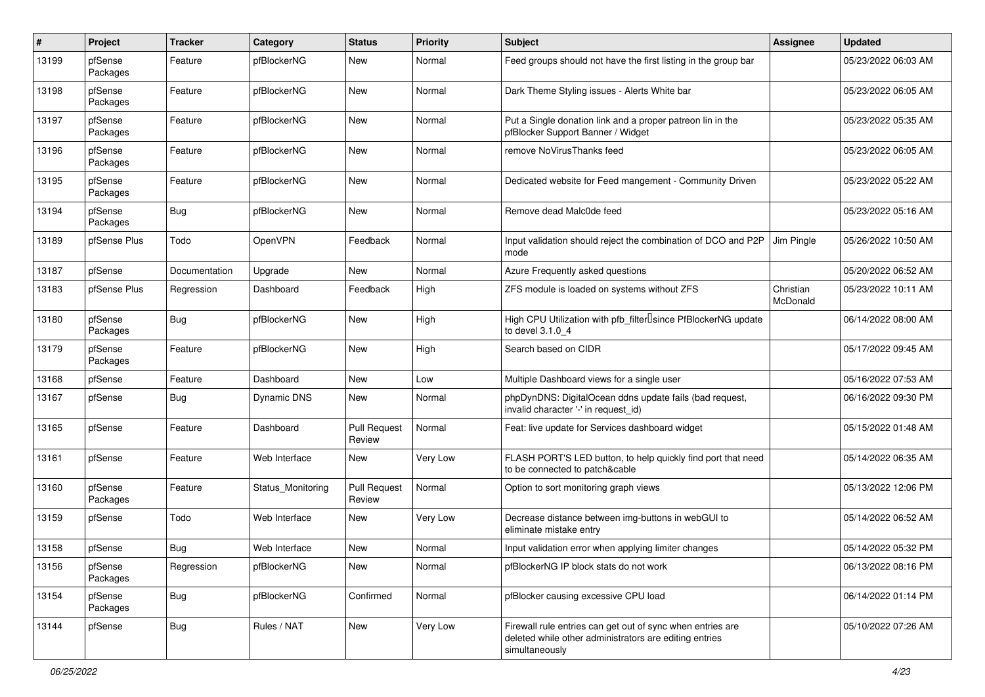| $\pmb{\#}$ | Project             | <b>Tracker</b> | Category           | <b>Status</b>                 | <b>Priority</b> | <b>Subject</b>                                                                                                                         | <b>Assignee</b>       | <b>Updated</b>      |
|------------|---------------------|----------------|--------------------|-------------------------------|-----------------|----------------------------------------------------------------------------------------------------------------------------------------|-----------------------|---------------------|
| 13199      | pfSense<br>Packages | Feature        | pfBlockerNG        | <b>New</b>                    | Normal          | Feed groups should not have the first listing in the group bar                                                                         |                       | 05/23/2022 06:03 AM |
| 13198      | pfSense<br>Packages | Feature        | pfBlockerNG        | New                           | Normal          | Dark Theme Styling issues - Alerts White bar                                                                                           |                       | 05/23/2022 06:05 AM |
| 13197      | pfSense<br>Packages | Feature        | pfBlockerNG        | <b>New</b>                    | Normal          | Put a Single donation link and a proper patreon lin in the<br>pfBlocker Support Banner / Widget                                        |                       | 05/23/2022 05:35 AM |
| 13196      | pfSense<br>Packages | Feature        | pfBlockerNG        | New                           | Normal          | remove NoVirusThanks feed                                                                                                              |                       | 05/23/2022 06:05 AM |
| 13195      | pfSense<br>Packages | Feature        | pfBlockerNG        | <b>New</b>                    | Normal          | Dedicated website for Feed mangement - Community Driven                                                                                |                       | 05/23/2022 05:22 AM |
| 13194      | pfSense<br>Packages | Bug            | pfBlockerNG        | New                           | Normal          | Remove dead Malc0de feed                                                                                                               |                       | 05/23/2022 05:16 AM |
| 13189      | pfSense Plus        | Todo           | OpenVPN            | Feedback                      | Normal          | Input validation should reject the combination of DCO and P2P<br>mode                                                                  | Jim Pingle            | 05/26/2022 10:50 AM |
| 13187      | pfSense             | Documentation  | Upgrade            | New                           | Normal          | Azure Frequently asked questions                                                                                                       |                       | 05/20/2022 06:52 AM |
| 13183      | pfSense Plus        | Regression     | Dashboard          | Feedback                      | High            | ZFS module is loaded on systems without ZFS                                                                                            | Christian<br>McDonald | 05/23/2022 10:11 AM |
| 13180      | pfSense<br>Packages | Bug            | pfBlockerNG        | New                           | High            | High CPU Utilization with pfb_filter <sup>[]</sup> since PfBlockerNG update<br>to devel 3.1.0 4                                        |                       | 06/14/2022 08:00 AM |
| 13179      | pfSense<br>Packages | Feature        | pfBlockerNG        | New                           | High            | Search based on CIDR                                                                                                                   |                       | 05/17/2022 09:45 AM |
| 13168      | pfSense             | Feature        | Dashboard          | New                           | Low             | Multiple Dashboard views for a single user                                                                                             |                       | 05/16/2022 07:53 AM |
| 13167      | pfSense             | <b>Bug</b>     | <b>Dynamic DNS</b> | New                           | Normal          | phpDynDNS: DigitalOcean ddns update fails (bad request,<br>invalid character '-' in request_id)                                        |                       | 06/16/2022 09:30 PM |
| 13165      | pfSense             | Feature        | Dashboard          | <b>Pull Request</b><br>Review | Normal          | Feat: live update for Services dashboard widget                                                                                        |                       | 05/15/2022 01:48 AM |
| 13161      | pfSense             | Feature        | Web Interface      | New                           | Very Low        | FLASH PORT'S LED button, to help quickly find port that need<br>to be connected to patch&cable                                         |                       | 05/14/2022 06:35 AM |
| 13160      | pfSense<br>Packages | Feature        | Status_Monitoring  | <b>Pull Request</b><br>Review | Normal          | Option to sort monitoring graph views                                                                                                  |                       | 05/13/2022 12:06 PM |
| 13159      | pfSense             | Todo           | Web Interface      | New                           | Very Low        | Decrease distance between img-buttons in webGUI to<br>eliminate mistake entry                                                          |                       | 05/14/2022 06:52 AM |
| 13158      | pfSense             | Bug            | Web Interface      | New                           | Normal          | Input validation error when applying limiter changes                                                                                   |                       | 05/14/2022 05:32 PM |
| 13156      | pfSense<br>Packages | Regression     | pfBlockerNG        | New                           | Normal          | pfBlockerNG IP block stats do not work                                                                                                 |                       | 06/13/2022 08:16 PM |
| 13154      | pfSense<br>Packages | <b>Bug</b>     | pfBlockerNG        | Confirmed                     | Normal          | pfBlocker causing excessive CPU load                                                                                                   |                       | 06/14/2022 01:14 PM |
| 13144      | pfSense             | <b>Bug</b>     | Rules / NAT        | New                           | Very Low        | Firewall rule entries can get out of sync when entries are<br>deleted while other administrators are editing entries<br>simultaneously |                       | 05/10/2022 07:26 AM |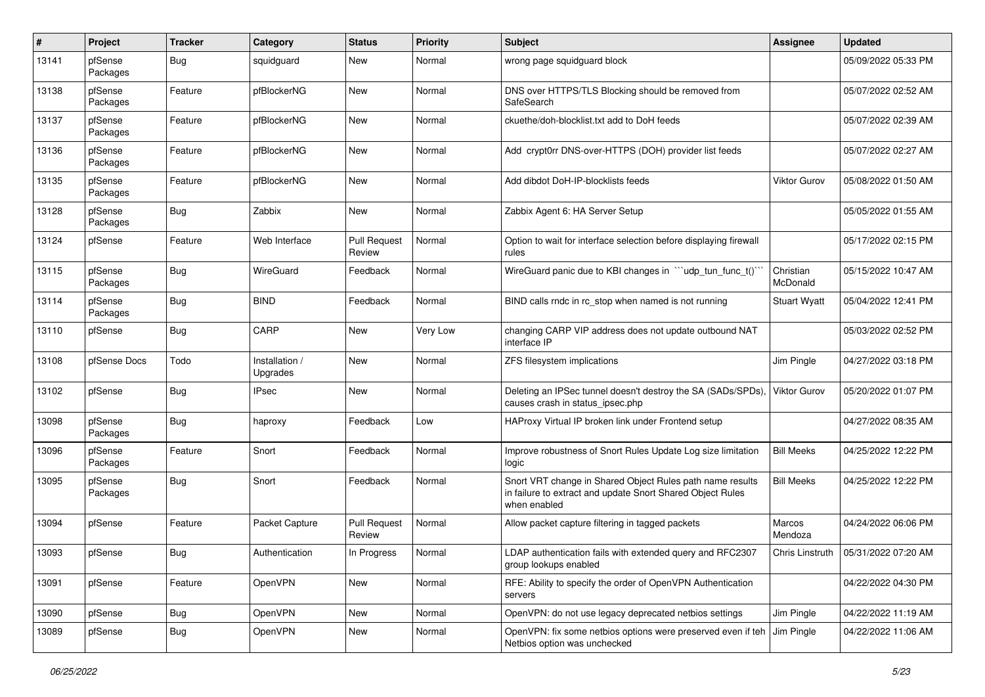| #     | Project             | <b>Tracker</b> | Category                   | <b>Status</b>                 | <b>Priority</b> | <b>Subject</b>                                                                                                                          | <b>Assignee</b>       | <b>Updated</b>      |
|-------|---------------------|----------------|----------------------------|-------------------------------|-----------------|-----------------------------------------------------------------------------------------------------------------------------------------|-----------------------|---------------------|
| 13141 | pfSense<br>Packages | <b>Bug</b>     | squidguard                 | New                           | Normal          | wrong page squidguard block                                                                                                             |                       | 05/09/2022 05:33 PM |
| 13138 | pfSense<br>Packages | Feature        | pfBlockerNG                | New                           | Normal          | DNS over HTTPS/TLS Blocking should be removed from<br>SafeSearch                                                                        |                       | 05/07/2022 02:52 AM |
| 13137 | pfSense<br>Packages | Feature        | pfBlockerNG                | <b>New</b>                    | Normal          | ckuethe/doh-blocklist.txt add to DoH feeds                                                                                              |                       | 05/07/2022 02:39 AM |
| 13136 | pfSense<br>Packages | Feature        | pfBlockerNG                | New                           | Normal          | Add crypt0rr DNS-over-HTTPS (DOH) provider list feeds                                                                                   |                       | 05/07/2022 02:27 AM |
| 13135 | pfSense<br>Packages | Feature        | pfBlockerNG                | New                           | Normal          | Add dibdot DoH-IP-blocklists feeds                                                                                                      | <b>Viktor Gurov</b>   | 05/08/2022 01:50 AM |
| 13128 | pfSense<br>Packages | Bug            | Zabbix                     | New                           | Normal          | Zabbix Agent 6: HA Server Setup                                                                                                         |                       | 05/05/2022 01:55 AM |
| 13124 | pfSense             | Feature        | Web Interface              | <b>Pull Request</b><br>Review | Normal          | Option to wait for interface selection before displaying firewall<br>rules                                                              |                       | 05/17/2022 02:15 PM |
| 13115 | pfSense<br>Packages | <b>Bug</b>     | WireGuard                  | Feedback                      | Normal          | WireGuard panic due to KBI changes in "'udp_tun_func_t()'                                                                               | Christian<br>McDonald | 05/15/2022 10:47 AM |
| 13114 | pfSense<br>Packages | <b>Bug</b>     | <b>BIND</b>                | Feedback                      | Normal          | BIND calls rndc in rc stop when named is not running                                                                                    | <b>Stuart Wyatt</b>   | 05/04/2022 12:41 PM |
| 13110 | pfSense             | <b>Bug</b>     | CARP                       | New                           | Very Low        | changing CARP VIP address does not update outbound NAT<br>interface IP                                                                  |                       | 05/03/2022 02:52 PM |
| 13108 | pfSense Docs        | Todo           | Installation /<br>Upgrades | New                           | Normal          | ZFS filesystem implications                                                                                                             | Jim Pingle            | 04/27/2022 03:18 PM |
| 13102 | pfSense             | Bug            | <b>IPsec</b>               | New                           | Normal          | Deleting an IPSec tunnel doesn't destroy the SA (SADs/SPDs).<br>causes crash in status ipsec.php                                        | <b>Viktor Gurov</b>   | 05/20/2022 01:07 PM |
| 13098 | pfSense<br>Packages | <b>Bug</b>     | haproxy                    | Feedback                      | Low             | HAProxy Virtual IP broken link under Frontend setup                                                                                     |                       | 04/27/2022 08:35 AM |
| 13096 | pfSense<br>Packages | Feature        | Snort                      | Feedback                      | Normal          | Improve robustness of Snort Rules Update Log size limitation<br>logic                                                                   | <b>Bill Meeks</b>     | 04/25/2022 12:22 PM |
| 13095 | pfSense<br>Packages | Bug            | Snort                      | Feedback                      | Normal          | Snort VRT change in Shared Object Rules path name results<br>in failure to extract and update Snort Shared Object Rules<br>when enabled | <b>Bill Meeks</b>     | 04/25/2022 12:22 PM |
| 13094 | pfSense             | Feature        | Packet Capture             | <b>Pull Request</b><br>Review | Normal          | Allow packet capture filtering in tagged packets                                                                                        | Marcos<br>Mendoza     | 04/24/2022 06:06 PM |
| 13093 | pfSense             | Bug            | Authentication             | In Progress                   | Normal          | LDAP authentication fails with extended query and RFC2307<br>group lookups enabled                                                      | Chris Linstruth       | 05/31/2022 07:20 AM |
| 13091 | pfSense             | Feature        | OpenVPN                    | New                           | Normal          | RFE: Ability to specify the order of OpenVPN Authentication<br>servers                                                                  |                       | 04/22/2022 04:30 PM |
| 13090 | pfSense             | <b>Bug</b>     | OpenVPN                    | New                           | Normal          | OpenVPN: do not use legacy deprecated netbios settings                                                                                  | Jim Pingle            | 04/22/2022 11:19 AM |
| 13089 | pfSense             | <b>Bug</b>     | OpenVPN                    | New                           | Normal          | OpenVPN: fix some netbios options were preserved even if teh<br>Netbios option was unchecked                                            | Jim Pingle            | 04/22/2022 11:06 AM |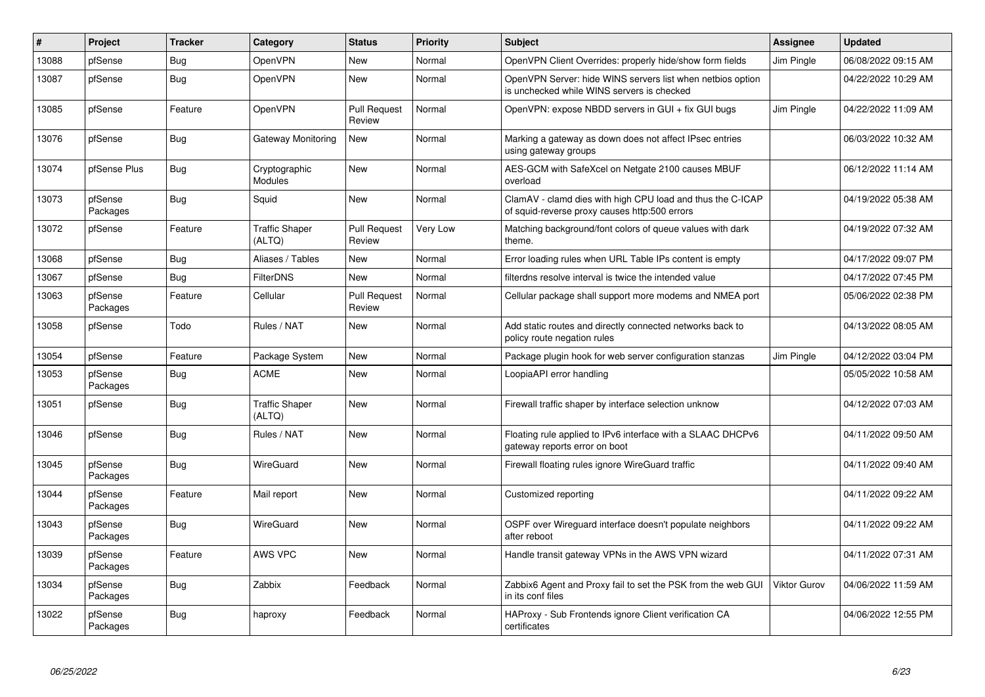| #     | Project             | <b>Tracker</b> | Category                        | <b>Status</b>                 | <b>Priority</b> | <b>Subject</b>                                                                                              | Assignee            | <b>Updated</b>      |
|-------|---------------------|----------------|---------------------------------|-------------------------------|-----------------|-------------------------------------------------------------------------------------------------------------|---------------------|---------------------|
| 13088 | pfSense             | Bug            | <b>OpenVPN</b>                  | New                           | Normal          | OpenVPN Client Overrides: properly hide/show form fields                                                    | Jim Pingle          | 06/08/2022 09:15 AM |
| 13087 | pfSense             | <b>Bug</b>     | OpenVPN                         | New                           | Normal          | OpenVPN Server: hide WINS servers list when netbios option<br>is unchecked while WINS servers is checked    |                     | 04/22/2022 10:29 AM |
| 13085 | pfSense             | Feature        | <b>OpenVPN</b>                  | <b>Pull Request</b><br>Review | Normal          | OpenVPN: expose NBDD servers in GUI + fix GUI bugs                                                          | Jim Pingle          | 04/22/2022 11:09 AM |
| 13076 | pfSense             | Bug            | Gateway Monitoring              | New                           | Normal          | Marking a gateway as down does not affect IPsec entries<br>using gateway groups                             |                     | 06/03/2022 10:32 AM |
| 13074 | pfSense Plus        | Bug            | Cryptographic<br>Modules        | New                           | Normal          | AES-GCM with SafeXcel on Netgate 2100 causes MBUF<br>overload                                               |                     | 06/12/2022 11:14 AM |
| 13073 | pfSense<br>Packages | <b>Bug</b>     | Squid                           | New                           | Normal          | ClamAV - clamd dies with high CPU load and thus the C-ICAP<br>of squid-reverse proxy causes http:500 errors |                     | 04/19/2022 05:38 AM |
| 13072 | pfSense             | Feature        | <b>Traffic Shaper</b><br>(ALTQ) | <b>Pull Request</b><br>Review | Very Low        | Matching background/font colors of queue values with dark<br>theme.                                         |                     | 04/19/2022 07:32 AM |
| 13068 | pfSense             | <b>Bug</b>     | Aliases / Tables                | New                           | Normal          | Error loading rules when URL Table IPs content is empty                                                     |                     | 04/17/2022 09:07 PM |
| 13067 | pfSense             | Bug            | <b>FilterDNS</b>                | New                           | Normal          | filterdns resolve interval is twice the intended value                                                      |                     | 04/17/2022 07:45 PM |
| 13063 | pfSense<br>Packages | Feature        | Cellular                        | <b>Pull Request</b><br>Review | Normal          | Cellular package shall support more modems and NMEA port                                                    |                     | 05/06/2022 02:38 PM |
| 13058 | pfSense             | Todo           | Rules / NAT                     | New                           | Normal          | Add static routes and directly connected networks back to<br>policy route negation rules                    |                     | 04/13/2022 08:05 AM |
| 13054 | pfSense             | Feature        | Package System                  | New                           | Normal          | Package plugin hook for web server configuration stanzas                                                    | Jim Pingle          | 04/12/2022 03:04 PM |
| 13053 | pfSense<br>Packages | Bug            | <b>ACME</b>                     | New                           | Normal          | LoopiaAPI error handling                                                                                    |                     | 05/05/2022 10:58 AM |
| 13051 | pfSense             | <b>Bug</b>     | <b>Traffic Shaper</b><br>(ALTQ) | New                           | Normal          | Firewall traffic shaper by interface selection unknow                                                       |                     | 04/12/2022 07:03 AM |
| 13046 | pfSense             | <b>Bug</b>     | Rules / NAT                     | New                           | Normal          | Floating rule applied to IPv6 interface with a SLAAC DHCPv6<br>gateway reports error on boot                |                     | 04/11/2022 09:50 AM |
| 13045 | pfSense<br>Packages | <b>Bug</b>     | WireGuard                       | New                           | Normal          | Firewall floating rules ignore WireGuard traffic                                                            |                     | 04/11/2022 09:40 AM |
| 13044 | pfSense<br>Packages | Feature        | Mail report                     | New                           | Normal          | Customized reporting                                                                                        |                     | 04/11/2022 09:22 AM |
| 13043 | pfSense<br>Packages | Bug            | WireGuard                       | New                           | Normal          | OSPF over Wireguard interface doesn't populate neighbors<br>after reboot                                    |                     | 04/11/2022 09:22 AM |
| 13039 | pfSense<br>Packages | Feature        | <b>AWS VPC</b>                  | <b>New</b>                    | Normal          | Handle transit gateway VPNs in the AWS VPN wizard                                                           |                     | 04/11/2022 07:31 AM |
| 13034 | pfSense<br>Packages | Bug            | Zabbix                          | Feedback                      | Normal          | Zabbix6 Agent and Proxy fail to set the PSK from the web GUI<br>in its conf files                           | <b>Viktor Gurov</b> | 04/06/2022 11:59 AM |
| 13022 | pfSense<br>Packages | <b>Bug</b>     | haproxy                         | Feedback                      | Normal          | HAProxy - Sub Frontends ignore Client verification CA<br>certificates                                       |                     | 04/06/2022 12:55 PM |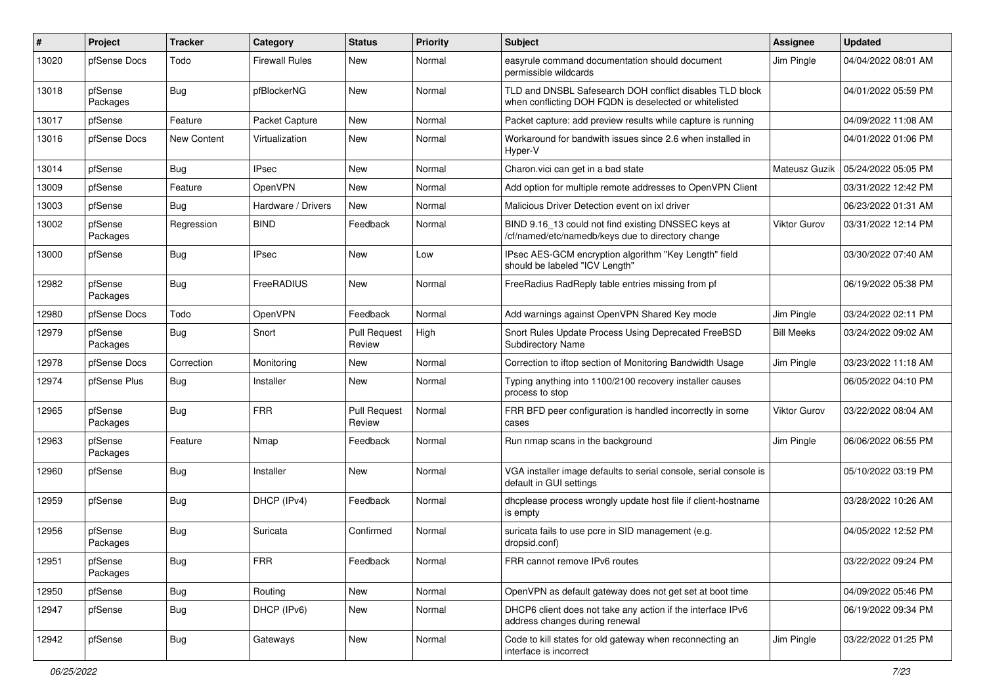| #     | Project             | <b>Tracker</b> | Category              | <b>Status</b>                 | <b>Priority</b> | <b>Subject</b>                                                                                                     | <b>Assignee</b>     | <b>Updated</b>      |
|-------|---------------------|----------------|-----------------------|-------------------------------|-----------------|--------------------------------------------------------------------------------------------------------------------|---------------------|---------------------|
| 13020 | pfSense Docs        | Todo           | <b>Firewall Rules</b> | New                           | Normal          | easyrule command documentation should document<br>permissible wildcards                                            | Jim Pingle          | 04/04/2022 08:01 AM |
| 13018 | pfSense<br>Packages | <b>Bug</b>     | pfBlockerNG           | <b>New</b>                    | Normal          | TLD and DNSBL Safesearch DOH conflict disables TLD block<br>when conflicting DOH FQDN is deselected or whitelisted |                     | 04/01/2022 05:59 PM |
| 13017 | pfSense             | Feature        | Packet Capture        | New                           | Normal          | Packet capture: add preview results while capture is running                                                       |                     | 04/09/2022 11:08 AM |
| 13016 | pfSense Docs        | New Content    | Virtualization        | New                           | Normal          | Workaround for bandwith issues since 2.6 when installed in<br>Hyper-V                                              |                     | 04/01/2022 01:06 PM |
| 13014 | pfSense             | <b>Bug</b>     | <b>IPsec</b>          | New                           | Normal          | Charon.vici can get in a bad state                                                                                 | Mateusz Guzik       | 05/24/2022 05:05 PM |
| 13009 | pfSense             | Feature        | OpenVPN               | New                           | Normal          | Add option for multiple remote addresses to OpenVPN Client                                                         |                     | 03/31/2022 12:42 PM |
| 13003 | pfSense             | <b>Bug</b>     | Hardware / Drivers    | <b>New</b>                    | Normal          | Malicious Driver Detection event on ixl driver                                                                     |                     | 06/23/2022 01:31 AM |
| 13002 | pfSense<br>Packages | Regression     | <b>BIND</b>           | Feedback                      | Normal          | BIND 9.16_13 could not find existing DNSSEC keys at<br>/cf/named/etc/namedb/keys due to directory change           | <b>Viktor Gurov</b> | 03/31/2022 12:14 PM |
| 13000 | pfSense             | <b>Bug</b>     | <b>IPsec</b>          | New                           | Low             | IPsec AES-GCM encryption algorithm "Key Length" field<br>should be labeled "ICV Length"                            |                     | 03/30/2022 07:40 AM |
| 12982 | pfSense<br>Packages | <b>Bug</b>     | FreeRADIUS            | New                           | Normal          | FreeRadius RadReply table entries missing from pf                                                                  |                     | 06/19/2022 05:38 PM |
| 12980 | pfSense Docs        | Todo           | OpenVPN               | Feedback                      | Normal          | Add warnings against OpenVPN Shared Key mode                                                                       | Jim Pingle          | 03/24/2022 02:11 PM |
| 12979 | pfSense<br>Packages | Bug            | Snort                 | <b>Pull Request</b><br>Review | High            | Snort Rules Update Process Using Deprecated FreeBSD<br>Subdirectory Name                                           | <b>Bill Meeks</b>   | 03/24/2022 09:02 AM |
| 12978 | pfSense Docs        | Correction     | Monitoring            | New                           | Normal          | Correction to iftop section of Monitoring Bandwidth Usage                                                          | Jim Pingle          | 03/23/2022 11:18 AM |
| 12974 | pfSense Plus        | Bug            | Installer             | New                           | Normal          | Typing anything into 1100/2100 recovery installer causes<br>process to stop                                        |                     | 06/05/2022 04:10 PM |
| 12965 | pfSense<br>Packages | <b>Bug</b>     | <b>FRR</b>            | <b>Pull Request</b><br>Review | Normal          | FRR BFD peer configuration is handled incorrectly in some<br>cases                                                 | <b>Viktor Gurov</b> | 03/22/2022 08:04 AM |
| 12963 | pfSense<br>Packages | Feature        | Nmap                  | Feedback                      | Normal          | Run nmap scans in the background                                                                                   | Jim Pingle          | 06/06/2022 06:55 PM |
| 12960 | pfSense             | <b>Bug</b>     | Installer             | <b>New</b>                    | Normal          | VGA installer image defaults to serial console, serial console is<br>default in GUI settings                       |                     | 05/10/2022 03:19 PM |
| 12959 | pfSense             | <b>Bug</b>     | DHCP (IPv4)           | Feedback                      | Normal          | dhcplease process wrongly update host file if client-hostname<br>is empty                                          |                     | 03/28/2022 10:26 AM |
| 12956 | pfSense<br>Packages | Bug            | Suricata              | Confirmed                     | Normal          | suricata fails to use pcre in SID management (e.g.<br>dropsid.conf)                                                |                     | 04/05/2022 12:52 PM |
| 12951 | pfSense<br>Packages | <b>Bug</b>     | <b>FRR</b>            | Feedback                      | Normal          | FRR cannot remove IPv6 routes                                                                                      |                     | 03/22/2022 09:24 PM |
| 12950 | pfSense             | <b>Bug</b>     | Routing               | New                           | Normal          | OpenVPN as default gateway does not get set at boot time                                                           |                     | 04/09/2022 05:46 PM |
| 12947 | pfSense             | <b>Bug</b>     | DHCP (IPv6)           | New                           | Normal          | DHCP6 client does not take any action if the interface IPv6<br>address changes during renewal                      |                     | 06/19/2022 09:34 PM |
| 12942 | pfSense             | <b>Bug</b>     | Gateways              | New                           | Normal          | Code to kill states for old gateway when reconnecting an<br>interface is incorrect                                 | Jim Pingle          | 03/22/2022 01:25 PM |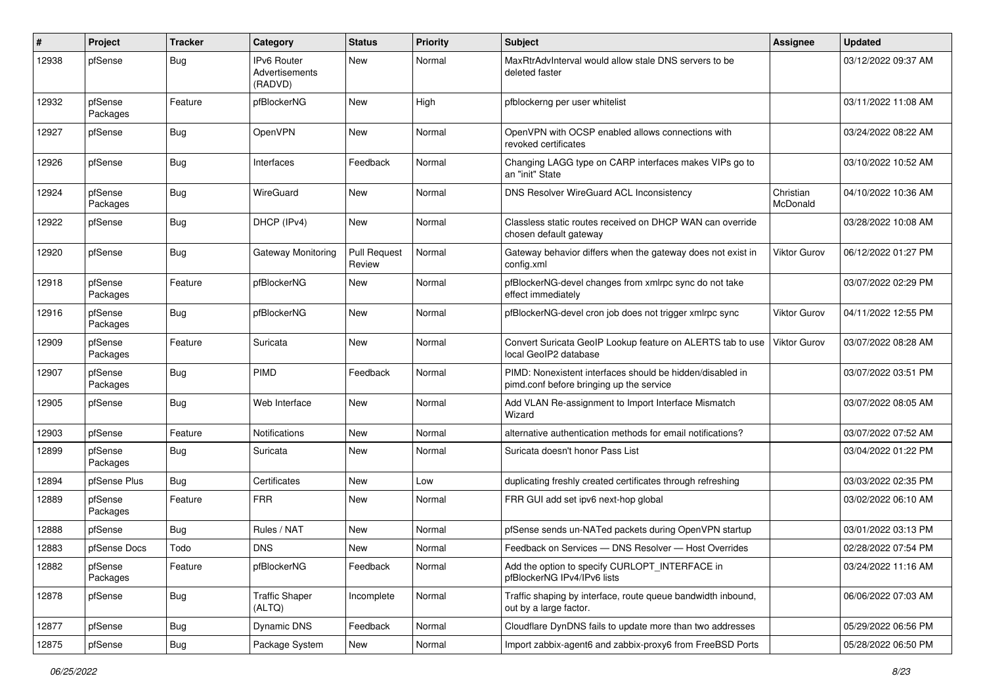| #     | Project             | <b>Tracker</b> | Category                                        | <b>Status</b>                 | <b>Priority</b> | <b>Subject</b>                                                                                        | <b>Assignee</b>       | <b>Updated</b>      |
|-------|---------------------|----------------|-------------------------------------------------|-------------------------------|-----------------|-------------------------------------------------------------------------------------------------------|-----------------------|---------------------|
| 12938 | pfSense             | <b>Bug</b>     | <b>IPv6 Router</b><br>Advertisements<br>(RADVD) | New                           | Normal          | MaxRtrAdvInterval would allow stale DNS servers to be<br>deleted faster                               |                       | 03/12/2022 09:37 AM |
| 12932 | pfSense<br>Packages | Feature        | pfBlockerNG                                     | New                           | High            | pfblockerng per user whitelist                                                                        |                       | 03/11/2022 11:08 AM |
| 12927 | pfSense             | Bug            | OpenVPN                                         | New                           | Normal          | OpenVPN with OCSP enabled allows connections with<br>revoked certificates                             |                       | 03/24/2022 08:22 AM |
| 12926 | pfSense             | <b>Bug</b>     | Interfaces                                      | Feedback                      | Normal          | Changing LAGG type on CARP interfaces makes VIPs go to<br>an "init" State                             |                       | 03/10/2022 10:52 AM |
| 12924 | pfSense<br>Packages | <b>Bug</b>     | WireGuard                                       | <b>New</b>                    | Normal          | <b>DNS Resolver WireGuard ACL Inconsistency</b>                                                       | Christian<br>McDonald | 04/10/2022 10:36 AM |
| 12922 | pfSense             | Bug            | DHCP (IPv4)                                     | New                           | Normal          | Classless static routes received on DHCP WAN can override<br>chosen default gateway                   |                       | 03/28/2022 10:08 AM |
| 12920 | pfSense             | Bug            | Gateway Monitoring                              | <b>Pull Request</b><br>Review | Normal          | Gateway behavior differs when the gateway does not exist in<br>config.xml                             | <b>Viktor Gurov</b>   | 06/12/2022 01:27 PM |
| 12918 | pfSense<br>Packages | Feature        | pfBlockerNG                                     | <b>New</b>                    | Normal          | pfBlockerNG-devel changes from xmlrpc sync do not take<br>effect immediately                          |                       | 03/07/2022 02:29 PM |
| 12916 | pfSense<br>Packages | <b>Bug</b>     | pfBlockerNG                                     | New                           | Normal          | pfBlockerNG-devel cron job does not trigger xmlrpc sync                                               | Viktor Gurov          | 04/11/2022 12:55 PM |
| 12909 | pfSense<br>Packages | Feature        | Suricata                                        | New                           | Normal          | Convert Suricata GeoIP Lookup feature on ALERTS tab to use<br>local GeoIP2 database                   | Viktor Gurov          | 03/07/2022 08:28 AM |
| 12907 | pfSense<br>Packages | <b>Bug</b>     | PIMD                                            | Feedback                      | Normal          | PIMD: Nonexistent interfaces should be hidden/disabled in<br>pimd.conf before bringing up the service |                       | 03/07/2022 03:51 PM |
| 12905 | pfSense             | <b>Bug</b>     | Web Interface                                   | <b>New</b>                    | Normal          | Add VLAN Re-assignment to Import Interface Mismatch<br>Wizard                                         |                       | 03/07/2022 08:05 AM |
| 12903 | pfSense             | Feature        | Notifications                                   | <b>New</b>                    | Normal          | alternative authentication methods for email notifications?                                           |                       | 03/07/2022 07:52 AM |
| 12899 | pfSense<br>Packages | <b>Bug</b>     | Suricata                                        | <b>New</b>                    | Normal          | Suricata doesn't honor Pass List                                                                      |                       | 03/04/2022 01:22 PM |
| 12894 | pfSense Plus        | <b>Bug</b>     | Certificates                                    | New                           | Low             | duplicating freshly created certificates through refreshing                                           |                       | 03/03/2022 02:35 PM |
| 12889 | pfSense<br>Packages | Feature        | <b>FRR</b>                                      | New                           | Normal          | FRR GUI add set ipv6 next-hop global                                                                  |                       | 03/02/2022 06:10 AM |
| 12888 | pfSense             | <b>Bug</b>     | Rules / NAT                                     | <b>New</b>                    | Normal          | pfSense sends un-NATed packets during OpenVPN startup                                                 |                       | 03/01/2022 03:13 PM |
| 12883 | pfSense Docs        | Todo           | <b>DNS</b>                                      | New                           | Normal          | Feedback on Services - DNS Resolver - Host Overrides                                                  |                       | 02/28/2022 07:54 PM |
| 12882 | pfSense<br>Packages | Feature        | pfBlockerNG                                     | Feedback                      | Normal          | Add the option to specify CURLOPT_INTERFACE in<br>pfBlockerNG IPv4/IPv6 lists                         |                       | 03/24/2022 11:16 AM |
| 12878 | pfSense             | <b>Bug</b>     | <b>Traffic Shaper</b><br>(ALTQ)                 | Incomplete                    | Normal          | Traffic shaping by interface, route queue bandwidth inbound,<br>out by a large factor.                |                       | 06/06/2022 07:03 AM |
| 12877 | pfSense             | <b>Bug</b>     | Dynamic DNS                                     | Feedback                      | Normal          | Cloudflare DynDNS fails to update more than two addresses                                             |                       | 05/29/2022 06:56 PM |
| 12875 | pfSense             | Bug            | Package System                                  | New                           | Normal          | Import zabbix-agent6 and zabbix-proxy6 from FreeBSD Ports                                             |                       | 05/28/2022 06:50 PM |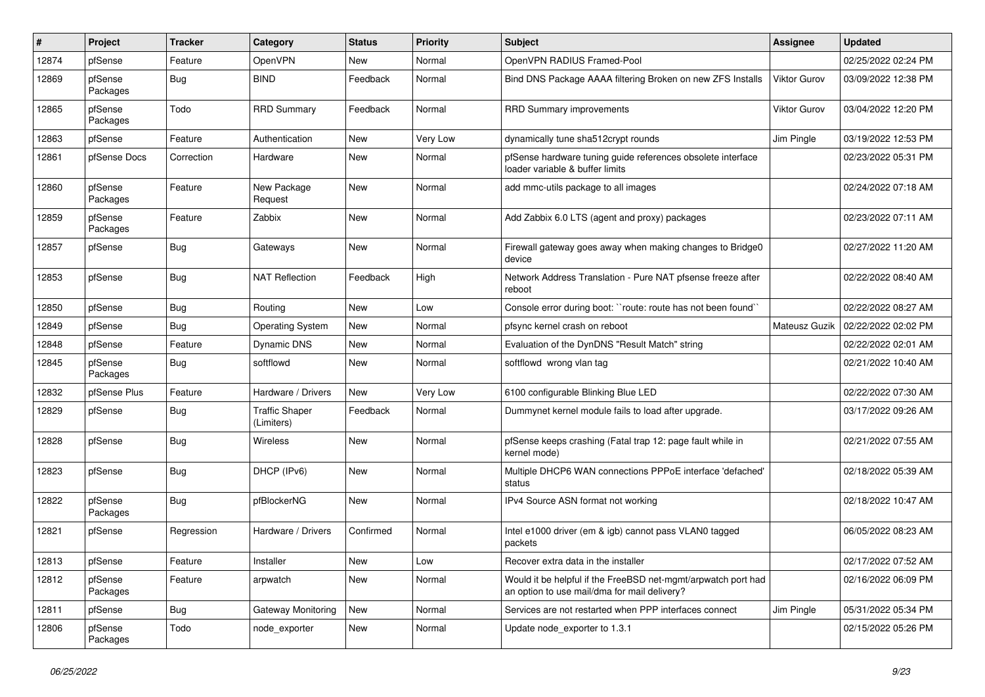| #     | Project             | <b>Tracker</b> | Category                            | <b>Status</b> | <b>Priority</b> | <b>Subject</b>                                                                                                | <b>Assignee</b> | <b>Updated</b>      |
|-------|---------------------|----------------|-------------------------------------|---------------|-----------------|---------------------------------------------------------------------------------------------------------------|-----------------|---------------------|
| 12874 | pfSense             | Feature        | OpenVPN                             | New           | Normal          | OpenVPN RADIUS Framed-Pool                                                                                    |                 | 02/25/2022 02:24 PM |
| 12869 | pfSense<br>Packages | <b>Bug</b>     | <b>BIND</b>                         | Feedback      | Normal          | Bind DNS Package AAAA filtering Broken on new ZFS Installs                                                    | Viktor Gurov    | 03/09/2022 12:38 PM |
| 12865 | pfSense<br>Packages | Todo           | <b>RRD Summary</b>                  | Feedback      | Normal          | RRD Summary improvements                                                                                      | Viktor Gurov    | 03/04/2022 12:20 PM |
| 12863 | pfSense             | Feature        | Authentication                      | New           | Very Low        | dynamically tune sha512crypt rounds                                                                           | Jim Pingle      | 03/19/2022 12:53 PM |
| 12861 | pfSense Docs        | Correction     | Hardware                            | New           | Normal          | pfSense hardware tuning guide references obsolete interface<br>loader variable & buffer limits                |                 | 02/23/2022 05:31 PM |
| 12860 | pfSense<br>Packages | Feature        | New Package<br>Request              | New           | Normal          | add mmc-utils package to all images                                                                           |                 | 02/24/2022 07:18 AM |
| 12859 | pfSense<br>Packages | Feature        | Zabbix                              | New           | Normal          | Add Zabbix 6.0 LTS (agent and proxy) packages                                                                 |                 | 02/23/2022 07:11 AM |
| 12857 | pfSense             | Bug            | Gateways                            | <b>New</b>    | Normal          | Firewall gateway goes away when making changes to Bridge0<br>device                                           |                 | 02/27/2022 11:20 AM |
| 12853 | pfSense             | <b>Bug</b>     | <b>NAT Reflection</b>               | Feedback      | High            | Network Address Translation - Pure NAT pfsense freeze after<br>reboot                                         |                 | 02/22/2022 08:40 AM |
| 12850 | pfSense             | Bug            | Routing                             | New           | Low             | Console error during boot: "route: route has not been found"                                                  |                 | 02/22/2022 08:27 AM |
| 12849 | pfSense             | <b>Bug</b>     | <b>Operating System</b>             | New           | Normal          | pfsync kernel crash on reboot                                                                                 | Mateusz Guzik   | 02/22/2022 02:02 PM |
| 12848 | pfSense             | Feature        | <b>Dynamic DNS</b>                  | New           | Normal          | Evaluation of the DynDNS "Result Match" string                                                                |                 | 02/22/2022 02:01 AM |
| 12845 | pfSense<br>Packages | Bug            | softflowd                           | New           | Normal          | softflowd wrong vlan tag                                                                                      |                 | 02/21/2022 10:40 AM |
| 12832 | pfSense Plus        | Feature        | Hardware / Drivers                  | New           | Very Low        | 6100 configurable Blinking Blue LED                                                                           |                 | 02/22/2022 07:30 AM |
| 12829 | pfSense             | <b>Bug</b>     | <b>Traffic Shaper</b><br>(Limiters) | Feedback      | Normal          | Dummynet kernel module fails to load after upgrade.                                                           |                 | 03/17/2022 09:26 AM |
| 12828 | pfSense             | Bug            | <b>Wireless</b>                     | New           | Normal          | pfSense keeps crashing (Fatal trap 12: page fault while in<br>kernel mode)                                    |                 | 02/21/2022 07:55 AM |
| 12823 | pfSense             | Bug            | DHCP (IPv6)                         | <b>New</b>    | Normal          | Multiple DHCP6 WAN connections PPPoE interface 'defached'<br>status                                           |                 | 02/18/2022 05:39 AM |
| 12822 | pfSense<br>Packages | Bug            | pfBlockerNG                         | New           | Normal          | IPv4 Source ASN format not working                                                                            |                 | 02/18/2022 10:47 AM |
| 12821 | pfSense             | Regression     | Hardware / Drivers                  | Confirmed     | Normal          | Intel e1000 driver (em & igb) cannot pass VLAN0 tagged<br>packets                                             |                 | 06/05/2022 08:23 AM |
| 12813 | pfSense             | Feature        | Installer                           | New           | Low             | Recover extra data in the installer                                                                           |                 | 02/17/2022 07:52 AM |
| 12812 | pfSense<br>Packages | Feature        | arpwatch                            | New           | Normal          | Would it be helpful if the FreeBSD net-mgmt/arpwatch port had<br>an option to use mail/dma for mail delivery? |                 | 02/16/2022 06:09 PM |
| 12811 | pfSense             | Bug            | <b>Gateway Monitoring</b>           | New           | Normal          | Services are not restarted when PPP interfaces connect                                                        | Jim Pingle      | 05/31/2022 05:34 PM |
| 12806 | pfSense<br>Packages | Todo           | node_exporter                       | New           | Normal          | Update node exporter to 1.3.1                                                                                 |                 | 02/15/2022 05:26 PM |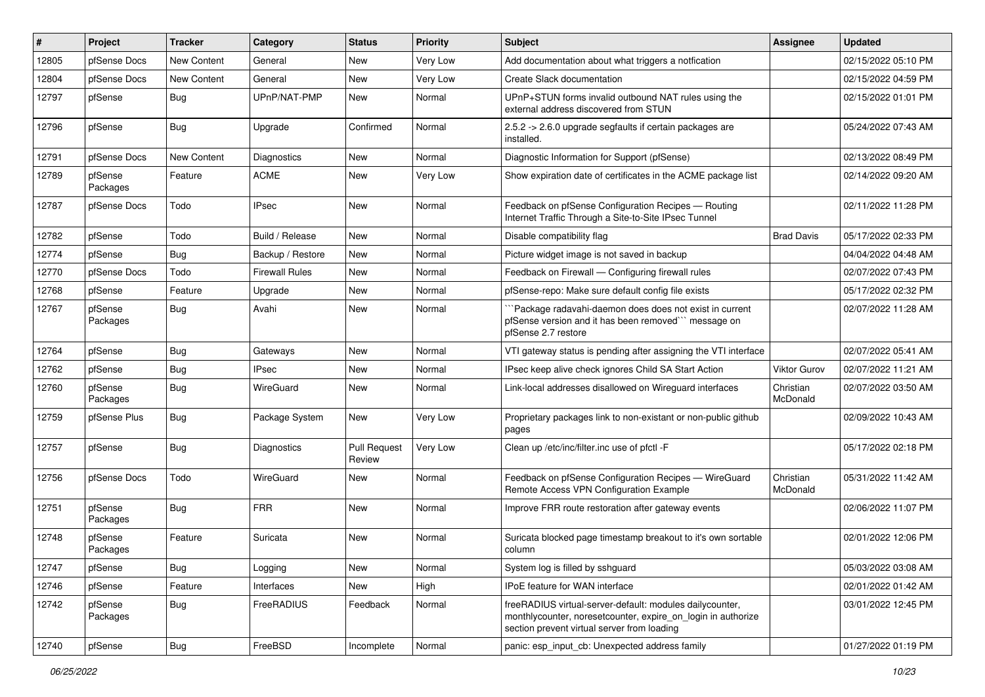| #     | Project             | <b>Tracker</b>     | Category              | <b>Status</b>                 | <b>Priority</b> | <b>Subject</b>                                                                                                                                                          | Assignee              | <b>Updated</b>      |
|-------|---------------------|--------------------|-----------------------|-------------------------------|-----------------|-------------------------------------------------------------------------------------------------------------------------------------------------------------------------|-----------------------|---------------------|
| 12805 | pfSense Docs        | <b>New Content</b> | General               | New                           | Very Low        | Add documentation about what triggers a notfication                                                                                                                     |                       | 02/15/2022 05:10 PM |
| 12804 | pfSense Docs        | New Content        | General               | New                           | Very Low        | Create Slack documentation                                                                                                                                              |                       | 02/15/2022 04:59 PM |
| 12797 | pfSense             | <b>Bug</b>         | UPnP/NAT-PMP          | New                           | Normal          | UPnP+STUN forms invalid outbound NAT rules using the<br>external address discovered from STUN                                                                           |                       | 02/15/2022 01:01 PM |
| 12796 | pfSense             | Bug                | Upgrade               | Confirmed                     | Normal          | 2.5.2 -> 2.6.0 upgrade segfaults if certain packages are<br>installed.                                                                                                  |                       | 05/24/2022 07:43 AM |
| 12791 | pfSense Docs        | <b>New Content</b> | Diagnostics           | New                           | Normal          | Diagnostic Information for Support (pfSense)                                                                                                                            |                       | 02/13/2022 08:49 PM |
| 12789 | pfSense<br>Packages | Feature            | <b>ACME</b>           | New                           | Very Low        | Show expiration date of certificates in the ACME package list                                                                                                           |                       | 02/14/2022 09:20 AM |
| 12787 | pfSense Docs        | Todo               | <b>IPsec</b>          | <b>New</b>                    | Normal          | Feedback on pfSense Configuration Recipes - Routing<br>Internet Traffic Through a Site-to-Site IPsec Tunnel                                                             |                       | 02/11/2022 11:28 PM |
| 12782 | pfSense             | Todo               | Build / Release       | <b>New</b>                    | Normal          | Disable compatibility flag                                                                                                                                              | <b>Brad Davis</b>     | 05/17/2022 02:33 PM |
| 12774 | pfSense             | Bug                | Backup / Restore      | New                           | Normal          | Picture widget image is not saved in backup                                                                                                                             |                       | 04/04/2022 04:48 AM |
| 12770 | pfSense Docs        | Todo               | <b>Firewall Rules</b> | New                           | Normal          | Feedback on Firewall - Configuring firewall rules                                                                                                                       |                       | 02/07/2022 07:43 PM |
| 12768 | pfSense             | Feature            | Upgrade               | New                           | Normal          | pfSense-repo: Make sure default config file exists                                                                                                                      |                       | 05/17/2022 02:32 PM |
| 12767 | pfSense<br>Packages | Bug                | Avahi                 | New                           | Normal          | `Package radavahi-daemon does does not exist in current<br>pfSense version and it has been removed" message on<br>pfSense 2.7 restore                                   |                       | 02/07/2022 11:28 AM |
| 12764 | pfSense             | Bug                | Gateways              | New                           | Normal          | VTI gateway status is pending after assigning the VTI interface                                                                                                         |                       | 02/07/2022 05:41 AM |
| 12762 | pfSense             | Bug                | <b>IPsec</b>          | New                           | Normal          | IPsec keep alive check ignores Child SA Start Action                                                                                                                    | Viktor Gurov          | 02/07/2022 11:21 AM |
| 12760 | pfSense<br>Packages | Bug                | WireGuard             | New                           | Normal          | Link-local addresses disallowed on Wireguard interfaces                                                                                                                 | Christian<br>McDonald | 02/07/2022 03:50 AM |
| 12759 | pfSense Plus        | <b>Bug</b>         | Package System        | New                           | Very Low        | Proprietary packages link to non-existant or non-public github<br>pages                                                                                                 |                       | 02/09/2022 10:43 AM |
| 12757 | pfSense             | Bug                | Diagnostics           | <b>Pull Request</b><br>Review | Very Low        | Clean up /etc/inc/filter.inc use of pfctl -F                                                                                                                            |                       | 05/17/2022 02:18 PM |
| 12756 | pfSense Docs        | Todo               | WireGuard             | <b>New</b>                    | Normal          | Feedback on pfSense Configuration Recipes - WireGuard<br>Remote Access VPN Configuration Example                                                                        | Christian<br>McDonald | 05/31/2022 11:42 AM |
| 12751 | pfSense<br>Packages | Bug                | <b>FRR</b>            | <b>New</b>                    | Normal          | Improve FRR route restoration after gateway events                                                                                                                      |                       | 02/06/2022 11:07 PM |
| 12748 | pfSense<br>Packages | Feature            | Suricata              | <b>New</b>                    | Normal          | Suricata blocked page timestamp breakout to it's own sortable<br>column                                                                                                 |                       | 02/01/2022 12:06 PM |
| 12747 | pfSense             | Bug                | Logging               | New                           | Normal          | System log is filled by sshguard                                                                                                                                        |                       | 05/03/2022 03:08 AM |
| 12746 | pfSense             | Feature            | Interfaces            | New                           | High            | IPoE feature for WAN interface                                                                                                                                          |                       | 02/01/2022 01:42 AM |
| 12742 | pfSense<br>Packages | <b>Bug</b>         | FreeRADIUS            | Feedback                      | Normal          | freeRADIUS virtual-server-default: modules dailycounter,<br>monthlycounter, noresetcounter, expire_on_login in authorize<br>section prevent virtual server from loading |                       | 03/01/2022 12:45 PM |
| 12740 | pfSense             | <b>Bug</b>         | FreeBSD               | Incomplete                    | Normal          | panic: esp_input_cb: Unexpected address family                                                                                                                          |                       | 01/27/2022 01:19 PM |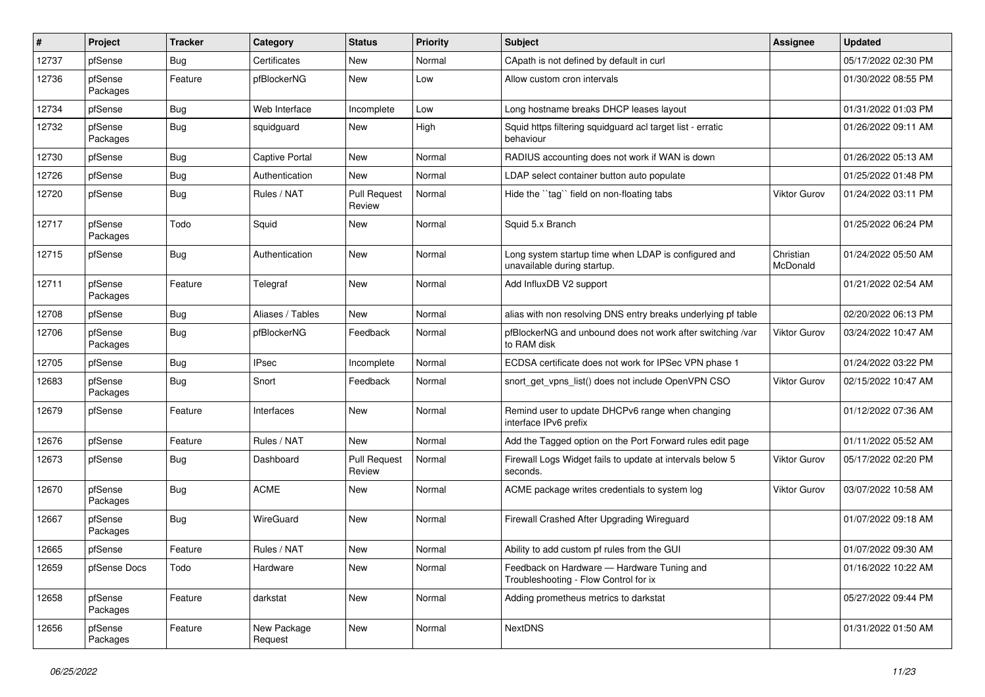| #     | Project             | <b>Tracker</b> | Category               | <b>Status</b>                 | <b>Priority</b> | Subject                                                                             | Assignee              | <b>Updated</b>      |
|-------|---------------------|----------------|------------------------|-------------------------------|-----------------|-------------------------------------------------------------------------------------|-----------------------|---------------------|
| 12737 | pfSense             | <b>Bug</b>     | Certificates           | New                           | Normal          | CApath is not defined by default in curl                                            |                       | 05/17/2022 02:30 PM |
| 12736 | pfSense<br>Packages | Feature        | pfBlockerNG            | New                           | Low             | Allow custom cron intervals                                                         |                       | 01/30/2022 08:55 PM |
| 12734 | pfSense             | Bug            | Web Interface          | Incomplete                    | Low             | Long hostname breaks DHCP leases layout                                             |                       | 01/31/2022 01:03 PM |
| 12732 | pfSense<br>Packages | <b>Bug</b>     | squidguard             | New                           | High            | Squid https filtering squidguard acl target list - erratic<br>behaviour             |                       | 01/26/2022 09:11 AM |
| 12730 | pfSense             | <b>Bug</b>     | <b>Captive Portal</b>  | New                           | Normal          | RADIUS accounting does not work if WAN is down                                      |                       | 01/26/2022 05:13 AM |
| 12726 | pfSense             | Bug            | Authentication         | New                           | Normal          | LDAP select container button auto populate                                          |                       | 01/25/2022 01:48 PM |
| 12720 | pfSense             | <b>Bug</b>     | Rules / NAT            | <b>Pull Request</b><br>Review | Normal          | Hide the "tag" field on non-floating tabs                                           | <b>Viktor Gurov</b>   | 01/24/2022 03:11 PM |
| 12717 | pfSense<br>Packages | Todo           | Squid                  | New                           | Normal          | Squid 5.x Branch                                                                    |                       | 01/25/2022 06:24 PM |
| 12715 | pfSense             | <b>Bug</b>     | Authentication         | <b>New</b>                    | Normal          | Long system startup time when LDAP is configured and<br>unavailable during startup. | Christian<br>McDonald | 01/24/2022 05:50 AM |
| 12711 | pfSense<br>Packages | Feature        | Telegraf               | New                           | Normal          | Add InfluxDB V2 support                                                             |                       | 01/21/2022 02:54 AM |
| 12708 | pfSense             | <b>Bug</b>     | Aliases / Tables       | New                           | Normal          | alias with non resolving DNS entry breaks underlying pf table                       |                       | 02/20/2022 06:13 PM |
| 12706 | pfSense<br>Packages | <b>Bug</b>     | pfBlockerNG            | Feedback                      | Normal          | pfBlockerNG and unbound does not work after switching /var<br>to RAM disk           | <b>Viktor Gurov</b>   | 03/24/2022 10:47 AM |
| 12705 | pfSense             | <b>Bug</b>     | <b>IPsec</b>           | Incomplete                    | Normal          | ECDSA certificate does not work for IPSec VPN phase 1                               |                       | 01/24/2022 03:22 PM |
| 12683 | pfSense<br>Packages | <b>Bug</b>     | Snort                  | Feedback                      | Normal          | snort_get_vpns_list() does not include OpenVPN CSO                                  | Viktor Gurov          | 02/15/2022 10:47 AM |
| 12679 | pfSense             | Feature        | Interfaces             | New                           | Normal          | Remind user to update DHCPv6 range when changing<br>interface IPv6 prefix           |                       | 01/12/2022 07:36 AM |
| 12676 | pfSense             | Feature        | Rules / NAT            | <b>New</b>                    | Normal          | Add the Tagged option on the Port Forward rules edit page                           |                       | 01/11/2022 05:52 AM |
| 12673 | pfSense             | <b>Bug</b>     | Dashboard              | <b>Pull Request</b><br>Review | Normal          | Firewall Logs Widget fails to update at intervals below 5<br>seconds.               | Viktor Gurov          | 05/17/2022 02:20 PM |
| 12670 | pfSense<br>Packages | <b>Bug</b>     | <b>ACME</b>            | New                           | Normal          | ACME package writes credentials to system log                                       | Viktor Gurov          | 03/07/2022 10:58 AM |
| 12667 | pfSense<br>Packages | <b>Bug</b>     | WireGuard              | New                           | Normal          | Firewall Crashed After Upgrading Wireguard                                          |                       | 01/07/2022 09:18 AM |
| 12665 | pfSense             | Feature        | Rules / NAT            | New                           | Normal          | Ability to add custom pf rules from the GUI                                         |                       | 01/07/2022 09:30 AM |
| 12659 | pfSense Docs        | Todo           | Hardware               | New                           | Normal          | Feedback on Hardware - Hardware Tuning and<br>Troubleshooting - Flow Control for ix |                       | 01/16/2022 10:22 AM |
| 12658 | pfSense<br>Packages | Feature        | darkstat               | New                           | Normal          | Adding prometheus metrics to darkstat                                               |                       | 05/27/2022 09:44 PM |
| 12656 | pfSense<br>Packages | Feature        | New Package<br>Request | New                           | Normal          | <b>NextDNS</b>                                                                      |                       | 01/31/2022 01:50 AM |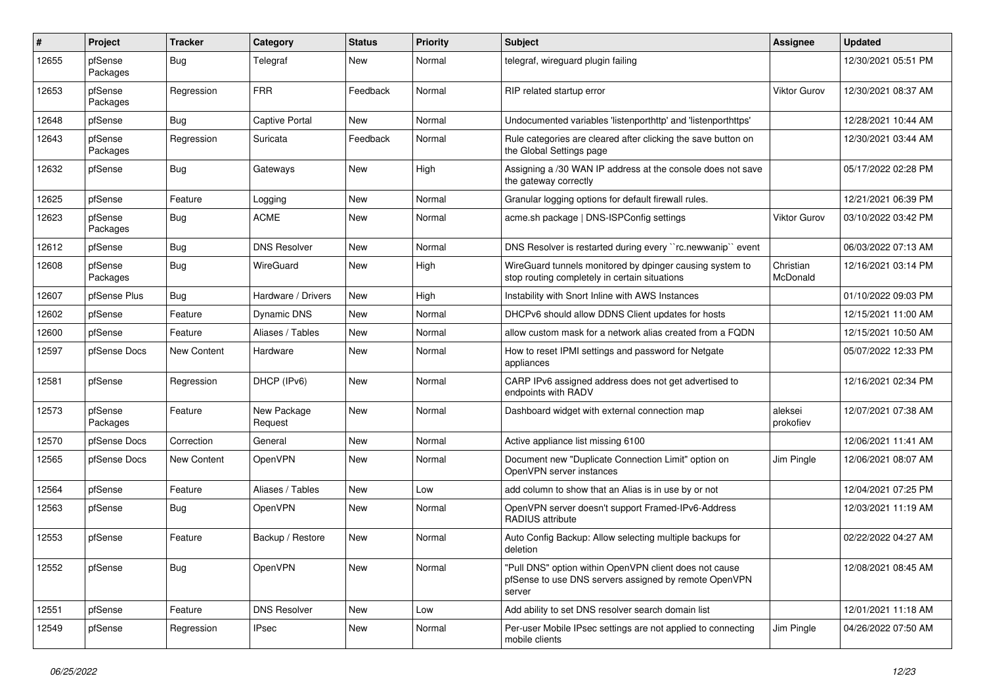| #     | Project             | <b>Tracker</b> | Category               | <b>Status</b> | <b>Priority</b> | <b>Subject</b>                                                                                                            | Assignee              | <b>Updated</b>      |
|-------|---------------------|----------------|------------------------|---------------|-----------------|---------------------------------------------------------------------------------------------------------------------------|-----------------------|---------------------|
| 12655 | pfSense<br>Packages | <b>Bug</b>     | Telegraf               | New           | Normal          | telegraf, wireguard plugin failing                                                                                        |                       | 12/30/2021 05:51 PM |
| 12653 | pfSense<br>Packages | Regression     | <b>FRR</b>             | Feedback      | Normal          | RIP related startup error                                                                                                 | Viktor Gurov          | 12/30/2021 08:37 AM |
| 12648 | pfSense             | Bug            | <b>Captive Portal</b>  | <b>New</b>    | Normal          | Undocumented variables 'listenporthttp' and 'listenporthttps'                                                             |                       | 12/28/2021 10:44 AM |
| 12643 | pfSense<br>Packages | Regression     | Suricata               | Feedback      | Normal          | Rule categories are cleared after clicking the save button on<br>the Global Settings page                                 |                       | 12/30/2021 03:44 AM |
| 12632 | pfSense             | Bug            | Gateways               | New           | High            | Assigning a /30 WAN IP address at the console does not save<br>the gateway correctly                                      |                       | 05/17/2022 02:28 PM |
| 12625 | pfSense             | Feature        | Logging                | New           | Normal          | Granular logging options for default firewall rules.                                                                      |                       | 12/21/2021 06:39 PM |
| 12623 | pfSense<br>Packages | <b>Bug</b>     | <b>ACME</b>            | New           | Normal          | acme.sh package   DNS-ISPConfig settings                                                                                  | Viktor Gurov          | 03/10/2022 03:42 PM |
| 12612 | pfSense             | <b>Bug</b>     | <b>DNS Resolver</b>    | New           | Normal          | DNS Resolver is restarted during every "rc.newwanip" event                                                                |                       | 06/03/2022 07:13 AM |
| 12608 | pfSense<br>Packages | <b>Bug</b>     | WireGuard              | New           | High            | WireGuard tunnels monitored by dpinger causing system to<br>stop routing completely in certain situations                 | Christian<br>McDonald | 12/16/2021 03:14 PM |
| 12607 | pfSense Plus        | Bug            | Hardware / Drivers     | New           | High            | Instability with Snort Inline with AWS Instances                                                                          |                       | 01/10/2022 09:03 PM |
| 12602 | pfSense             | Feature        | Dynamic DNS            | New           | Normal          | DHCPv6 should allow DDNS Client updates for hosts                                                                         |                       | 12/15/2021 11:00 AM |
| 12600 | pfSense             | Feature        | Aliases / Tables       | <b>New</b>    | Normal          | allow custom mask for a network alias created from a FQDN                                                                 |                       | 12/15/2021 10:50 AM |
| 12597 | pfSense Docs        | New Content    | Hardware               | New           | Normal          | How to reset IPMI settings and password for Netgate<br>appliances                                                         |                       | 05/07/2022 12:33 PM |
| 12581 | pfSense             | Regression     | DHCP (IPv6)            | New           | Normal          | CARP IPv6 assigned address does not get advertised to<br>endpoints with RADV                                              |                       | 12/16/2021 02:34 PM |
| 12573 | pfSense<br>Packages | Feature        | New Package<br>Request | New           | Normal          | Dashboard widget with external connection map                                                                             | aleksei<br>prokofiev  | 12/07/2021 07:38 AM |
| 12570 | pfSense Docs        | Correction     | General                | New           | Normal          | Active appliance list missing 6100                                                                                        |                       | 12/06/2021 11:41 AM |
| 12565 | pfSense Docs        | New Content    | OpenVPN                | New           | Normal          | Document new "Duplicate Connection Limit" option on<br>OpenVPN server instances                                           | Jim Pingle            | 12/06/2021 08:07 AM |
| 12564 | pfSense             | Feature        | Aliases / Tables       | <b>New</b>    | Low             | add column to show that an Alias is in use by or not                                                                      |                       | 12/04/2021 07:25 PM |
| 12563 | pfSense             | <b>Bug</b>     | OpenVPN                | New           | Normal          | OpenVPN server doesn't support Framed-IPv6-Address<br>RADIUS attribute                                                    |                       | 12/03/2021 11:19 AM |
| 12553 | pfSense             | Feature        | Backup / Restore       | New           | Normal          | Auto Config Backup: Allow selecting multiple backups for<br>deletion                                                      |                       | 02/22/2022 04:27 AM |
| 12552 | pfSense             | <b>Bug</b>     | OpenVPN                | New           | Normal          | "Pull DNS" option within OpenVPN client does not cause<br>pfSense to use DNS servers assigned by remote OpenVPN<br>server |                       | 12/08/2021 08:45 AM |
| 12551 | pfSense             | Feature        | <b>DNS Resolver</b>    | New           | Low             | Add ability to set DNS resolver search domain list                                                                        |                       | 12/01/2021 11:18 AM |
| 12549 | pfSense             | Regression     | <b>IPsec</b>           | New           | Normal          | Per-user Mobile IPsec settings are not applied to connecting<br>mobile clients                                            | Jim Pingle            | 04/26/2022 07:50 AM |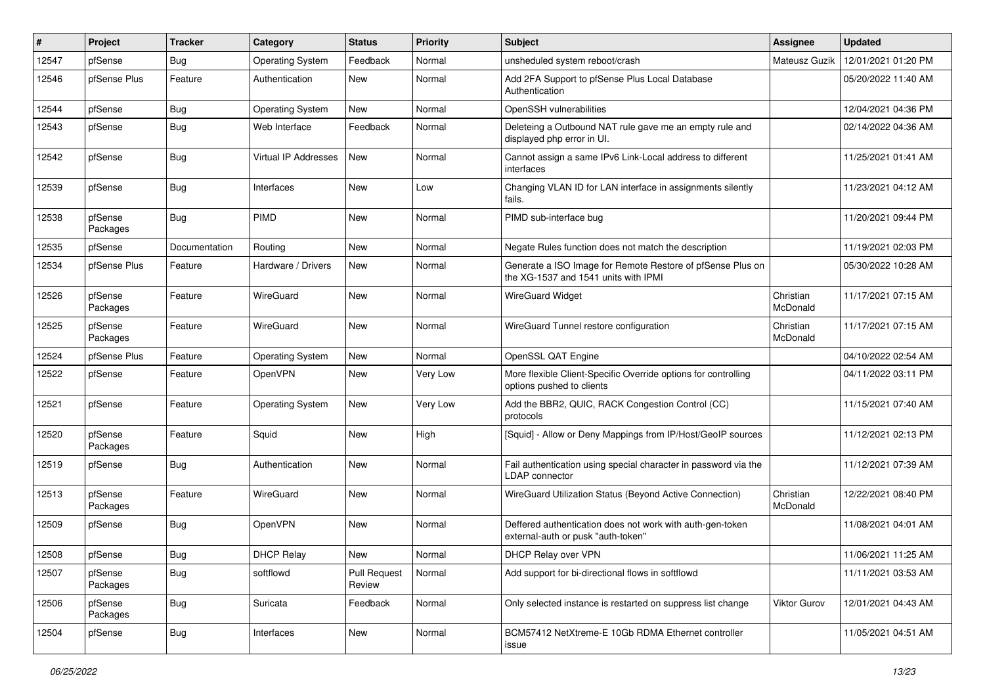| #     | Project             | <b>Tracker</b> | Category                | <b>Status</b>                 | <b>Priority</b> | <b>Subject</b>                                                                                     | <b>Assignee</b>       | <b>Updated</b>      |
|-------|---------------------|----------------|-------------------------|-------------------------------|-----------------|----------------------------------------------------------------------------------------------------|-----------------------|---------------------|
| 12547 | pfSense             | Bug            | <b>Operating System</b> | Feedback                      | Normal          | unsheduled system reboot/crash                                                                     | Mateusz Guzik         | 12/01/2021 01:20 PM |
| 12546 | pfSense Plus        | Feature        | Authentication          | New                           | Normal          | Add 2FA Support to pfSense Plus Local Database<br>Authentication                                   |                       | 05/20/2022 11:40 AM |
| 12544 | pfSense             | <b>Bug</b>     | <b>Operating System</b> | New                           | Normal          | OpenSSH vulnerabilities                                                                            |                       | 12/04/2021 04:36 PM |
| 12543 | pfSense             | <b>Bug</b>     | Web Interface           | Feedback                      | Normal          | Deleteing a Outbound NAT rule gave me an empty rule and<br>displayed php error in UI.              |                       | 02/14/2022 04:36 AM |
| 12542 | pfSense             | <b>Bug</b>     | Virtual IP Addresses    | New                           | Normal          | Cannot assign a same IPv6 Link-Local address to different<br>interfaces                            |                       | 11/25/2021 01:41 AM |
| 12539 | pfSense             | <b>Bug</b>     | Interfaces              | New                           | Low             | Changing VLAN ID for LAN interface in assignments silently<br>fails.                               |                       | 11/23/2021 04:12 AM |
| 12538 | pfSense<br>Packages | Bug            | PIMD                    | New                           | Normal          | PIMD sub-interface bug                                                                             |                       | 11/20/2021 09:44 PM |
| 12535 | pfSense             | Documentation  | Routing                 | <b>New</b>                    | Normal          | Negate Rules function does not match the description                                               |                       | 11/19/2021 02:03 PM |
| 12534 | pfSense Plus        | Feature        | Hardware / Drivers      | New                           | Normal          | Generate a ISO Image for Remote Restore of pfSense Plus on<br>the XG-1537 and 1541 units with IPMI |                       | 05/30/2022 10:28 AM |
| 12526 | pfSense<br>Packages | Feature        | WireGuard               | New                           | Normal          | <b>WireGuard Widget</b>                                                                            | Christian<br>McDonald | 11/17/2021 07:15 AM |
| 12525 | pfSense<br>Packages | Feature        | WireGuard               | New                           | Normal          | WireGuard Tunnel restore configuration                                                             | Christian<br>McDonald | 11/17/2021 07:15 AM |
| 12524 | pfSense Plus        | Feature        | <b>Operating System</b> | New                           | Normal          | OpenSSL QAT Engine                                                                                 |                       | 04/10/2022 02:54 AM |
| 12522 | pfSense             | Feature        | OpenVPN                 | New                           | Very Low        | More flexible Client-Specific Override options for controlling<br>options pushed to clients        |                       | 04/11/2022 03:11 PM |
| 12521 | pfSense             | Feature        | <b>Operating System</b> | New                           | Very Low        | Add the BBR2, QUIC, RACK Congestion Control (CC)<br>protocols                                      |                       | 11/15/2021 07:40 AM |
| 12520 | pfSense<br>Packages | Feature        | Squid                   | New                           | High            | [Squid] - Allow or Deny Mappings from IP/Host/GeoIP sources                                        |                       | 11/12/2021 02:13 PM |
| 12519 | pfSense             | <b>Bug</b>     | Authentication          | New                           | Normal          | Fail authentication using special character in password via the<br><b>LDAP</b> connector           |                       | 11/12/2021 07:39 AM |
| 12513 | pfSense<br>Packages | Feature        | WireGuard               | New                           | Normal          | WireGuard Utilization Status (Beyond Active Connection)                                            | Christian<br>McDonald | 12/22/2021 08:40 PM |
| 12509 | pfSense             | <b>Bug</b>     | OpenVPN                 | New                           | Normal          | Deffered authentication does not work with auth-gen-token<br>external-auth or pusk "auth-token"    |                       | 11/08/2021 04:01 AM |
| 12508 | pfSense             | Bug            | <b>DHCP Relay</b>       | New                           | Normal          | DHCP Relay over VPN                                                                                |                       | 11/06/2021 11:25 AM |
| 12507 | pfSense<br>Packages | <b>Bug</b>     | softflowd               | <b>Pull Request</b><br>Review | Normal          | Add support for bi-directional flows in softflowd                                                  |                       | 11/11/2021 03:53 AM |
| 12506 | pfSense<br>Packages | Bug            | Suricata                | Feedback                      | Normal          | Only selected instance is restarted on suppress list change                                        | <b>Viktor Gurov</b>   | 12/01/2021 04:43 AM |
| 12504 | pfSense             | <b>Bug</b>     | Interfaces              | New                           | Normal          | BCM57412 NetXtreme-E 10Gb RDMA Ethernet controller<br>issue                                        |                       | 11/05/2021 04:51 AM |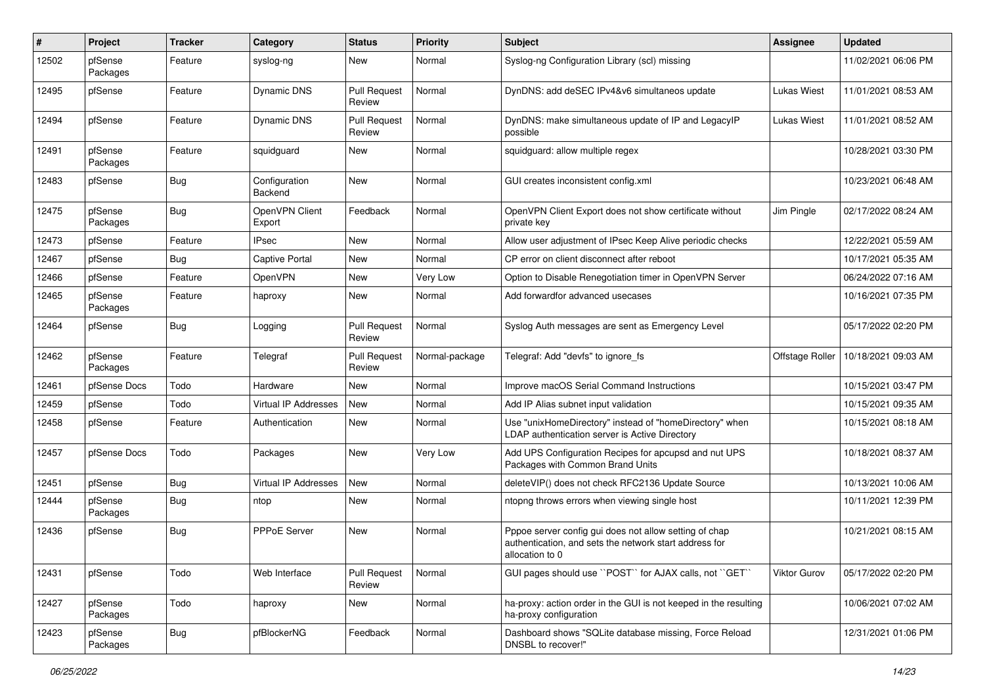| #     | Project             | <b>Tracker</b> | Category                        | <b>Status</b>                 | <b>Priority</b> | <b>Subject</b>                                                                                                                      | <b>Assignee</b> | <b>Updated</b>      |
|-------|---------------------|----------------|---------------------------------|-------------------------------|-----------------|-------------------------------------------------------------------------------------------------------------------------------------|-----------------|---------------------|
| 12502 | pfSense<br>Packages | Feature        | syslog-ng                       | New                           | Normal          | Syslog-ng Configuration Library (scl) missing                                                                                       |                 | 11/02/2021 06:06 PM |
| 12495 | pfSense             | Feature        | Dynamic DNS                     | <b>Pull Request</b><br>Review | Normal          | DynDNS: add deSEC IPv4&v6 simultaneos update                                                                                        | Lukas Wiest     | 11/01/2021 08:53 AM |
| 12494 | pfSense             | Feature        | Dynamic DNS                     | <b>Pull Request</b><br>Review | Normal          | DynDNS: make simultaneous update of IP and LegacyIP<br>possible                                                                     | Lukas Wiest     | 11/01/2021 08:52 AM |
| 12491 | pfSense<br>Packages | Feature        | squidguard                      | New                           | Normal          | squidguard: allow multiple regex                                                                                                    |                 | 10/28/2021 03:30 PM |
| 12483 | pfSense             | <b>Bug</b>     | Configuration<br><b>Backend</b> | New                           | Normal          | GUI creates inconsistent config.xml                                                                                                 |                 | 10/23/2021 06:48 AM |
| 12475 | pfSense<br>Packages | Bug            | OpenVPN Client<br>Export        | Feedback                      | Normal          | OpenVPN Client Export does not show certificate without<br>private key                                                              | Jim Pingle      | 02/17/2022 08:24 AM |
| 12473 | pfSense             | Feature        | <b>IPsec</b>                    | New                           | Normal          | Allow user adjustment of IPsec Keep Alive periodic checks                                                                           |                 | 12/22/2021 05:59 AM |
| 12467 | pfSense             | <b>Bug</b>     | Captive Portal                  | New                           | Normal          | CP error on client disconnect after reboot                                                                                          |                 | 10/17/2021 05:35 AM |
| 12466 | pfSense             | Feature        | OpenVPN                         | New                           | Very Low        | Option to Disable Renegotiation timer in OpenVPN Server                                                                             |                 | 06/24/2022 07:16 AM |
| 12465 | pfSense<br>Packages | Feature        | haproxy                         | New                           | Normal          | Add forwardfor advanced usecases                                                                                                    |                 | 10/16/2021 07:35 PM |
| 12464 | pfSense             | <b>Bug</b>     | Logging                         | <b>Pull Request</b><br>Review | Normal          | Syslog Auth messages are sent as Emergency Level                                                                                    |                 | 05/17/2022 02:20 PM |
| 12462 | pfSense<br>Packages | Feature        | Telegraf                        | <b>Pull Request</b><br>Review | Normal-package  | Telegraf: Add "devfs" to ignore fs                                                                                                  | Offstage Roller | 10/18/2021 09:03 AM |
| 12461 | pfSense Docs        | Todo           | Hardware                        | New                           | Normal          | Improve macOS Serial Command Instructions                                                                                           |                 | 10/15/2021 03:47 PM |
| 12459 | pfSense             | Todo           | Virtual IP Addresses            | New                           | Normal          | Add IP Alias subnet input validation                                                                                                |                 | 10/15/2021 09:35 AM |
| 12458 | pfSense             | Feature        | Authentication                  | New                           | Normal          | Use "unixHomeDirectory" instead of "homeDirectory" when<br>LDAP authentication server is Active Directory                           |                 | 10/15/2021 08:18 AM |
| 12457 | pfSense Docs        | Todo           | Packages                        | New                           | Very Low        | Add UPS Configuration Recipes for apcupsd and nut UPS<br>Packages with Common Brand Units                                           |                 | 10/18/2021 08:37 AM |
| 12451 | pfSense             | <b>Bug</b>     | Virtual IP Addresses            | New                           | Normal          | deleteVIP() does not check RFC2136 Update Source                                                                                    |                 | 10/13/2021 10:06 AM |
| 12444 | pfSense<br>Packages | <b>Bug</b>     | ntop                            | New                           | Normal          | ntopng throws errors when viewing single host                                                                                       |                 | 10/11/2021 12:39 PM |
| 12436 | pfSense             | <b>Bug</b>     | PPPoE Server                    | <b>New</b>                    | Normal          | Pppoe server config gui does not allow setting of chap<br>authentication, and sets the network start address for<br>allocation to 0 |                 | 10/21/2021 08:15 AM |
| 12431 | pfSense             | Todo           | Web Interface                   | <b>Pull Request</b><br>Review | Normal          | GUI pages should use "POST" for AJAX calls, not "GET"                                                                               | Viktor Gurov    | 05/17/2022 02:20 PM |
| 12427 | pfSense<br>Packages | Todo           | haproxy                         | New                           | Normal          | ha-proxy: action order in the GUI is not keeped in the resulting<br>ha-proxy configuration                                          |                 | 10/06/2021 07:02 AM |
| 12423 | pfSense<br>Packages | <b>Bug</b>     | pfBlockerNG                     | Feedback                      | Normal          | Dashboard shows "SQLite database missing, Force Reload<br>DNSBL to recover!"                                                        |                 | 12/31/2021 01:06 PM |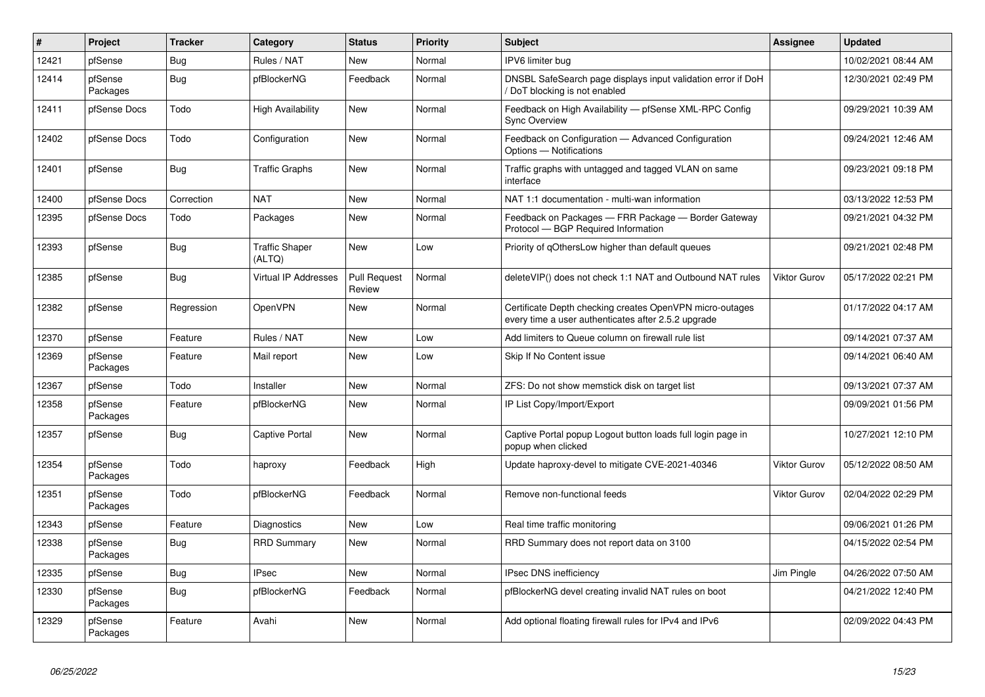| $\#$  | Project             | <b>Tracker</b> | Category                        | <b>Status</b>                 | Priority | <b>Subject</b>                                                                                                  | Assignee            | <b>Updated</b>      |
|-------|---------------------|----------------|---------------------------------|-------------------------------|----------|-----------------------------------------------------------------------------------------------------------------|---------------------|---------------------|
| 12421 | pfSense             | Bug            | Rules / NAT                     | <b>New</b>                    | Normal   | IPV6 limiter bug                                                                                                |                     | 10/02/2021 08:44 AM |
| 12414 | pfSense<br>Packages | <b>Bug</b>     | pfBlockerNG                     | Feedback                      | Normal   | DNSBL SafeSearch page displays input validation error if DoH<br>DoT blocking is not enabled                     |                     | 12/30/2021 02:49 PM |
| 12411 | pfSense Docs        | Todo           | <b>High Availability</b>        | New                           | Normal   | Feedback on High Availability - pfSense XML-RPC Config<br><b>Sync Overview</b>                                  |                     | 09/29/2021 10:39 AM |
| 12402 | pfSense Docs        | Todo           | Configuration                   | New                           | Normal   | Feedback on Configuration - Advanced Configuration<br>Options - Notifications                                   |                     | 09/24/2021 12:46 AM |
| 12401 | pfSense             | <b>Bug</b>     | <b>Traffic Graphs</b>           | <b>New</b>                    | Normal   | Traffic graphs with untagged and tagged VLAN on same<br>interface                                               |                     | 09/23/2021 09:18 PM |
| 12400 | pfSense Docs        | Correction     | <b>NAT</b>                      | New                           | Normal   | NAT 1:1 documentation - multi-wan information                                                                   |                     | 03/13/2022 12:53 PM |
| 12395 | pfSense Docs        | Todo           | Packages                        | New                           | Normal   | Feedback on Packages - FRR Package - Border Gateway<br>Protocol - BGP Required Information                      |                     | 09/21/2021 04:32 PM |
| 12393 | pfSense             | Bug            | <b>Traffic Shaper</b><br>(ALTQ) | New                           | Low      | Priority of gOthersLow higher than default queues                                                               |                     | 09/21/2021 02:48 PM |
| 12385 | pfSense             | Bug            | <b>Virtual IP Addresses</b>     | <b>Pull Request</b><br>Review | Normal   | deleteVIP() does not check 1:1 NAT and Outbound NAT rules                                                       | <b>Viktor Gurov</b> | 05/17/2022 02:21 PM |
| 12382 | pfSense             | Regression     | OpenVPN                         | <b>New</b>                    | Normal   | Certificate Depth checking creates OpenVPN micro-outages<br>every time a user authenticates after 2.5.2 upgrade |                     | 01/17/2022 04:17 AM |
| 12370 | pfSense             | Feature        | Rules / NAT                     | New                           | Low      | Add limiters to Queue column on firewall rule list                                                              |                     | 09/14/2021 07:37 AM |
| 12369 | pfSense<br>Packages | Feature        | Mail report                     | New                           | Low      | Skip If No Content issue                                                                                        |                     | 09/14/2021 06:40 AM |
| 12367 | pfSense             | Todo           | Installer                       | New                           | Normal   | ZFS: Do not show memstick disk on target list                                                                   |                     | 09/13/2021 07:37 AM |
| 12358 | pfSense<br>Packages | Feature        | pfBlockerNG                     | New                           | Normal   | IP List Copy/Import/Export                                                                                      |                     | 09/09/2021 01:56 PM |
| 12357 | pfSense             | <b>Bug</b>     | Captive Portal                  | New                           | Normal   | Captive Portal popup Logout button loads full login page in<br>popup when clicked                               |                     | 10/27/2021 12:10 PM |
| 12354 | pfSense<br>Packages | Todo           | haproxy                         | Feedback                      | High     | Update haproxy-devel to mitigate CVE-2021-40346                                                                 | <b>Viktor Gurov</b> | 05/12/2022 08:50 AM |
| 12351 | pfSense<br>Packages | Todo           | pfBlockerNG                     | Feedback                      | Normal   | Remove non-functional feeds                                                                                     | <b>Viktor Gurov</b> | 02/04/2022 02:29 PM |
| 12343 | pfSense             | Feature        | Diagnostics                     | <b>New</b>                    | Low      | Real time traffic monitoring                                                                                    |                     | 09/06/2021 01:26 PM |
| 12338 | pfSense<br>Packages | <b>Bug</b>     | <b>RRD Summary</b>              | New                           | Normal   | RRD Summary does not report data on 3100                                                                        |                     | 04/15/2022 02:54 PM |
| 12335 | pfSense             | Bug            | <b>IPsec</b>                    | <b>New</b>                    | Normal   | IPsec DNS inefficiency                                                                                          | Jim Pingle          | 04/26/2022 07:50 AM |
| 12330 | pfSense<br>Packages | Bug            | pfBlockerNG                     | Feedback                      | Normal   | pfBlockerNG devel creating invalid NAT rules on boot                                                            |                     | 04/21/2022 12:40 PM |
| 12329 | pfSense<br>Packages | Feature        | Avahi                           | <b>New</b>                    | Normal   | Add optional floating firewall rules for IPv4 and IPv6                                                          |                     | 02/09/2022 04:43 PM |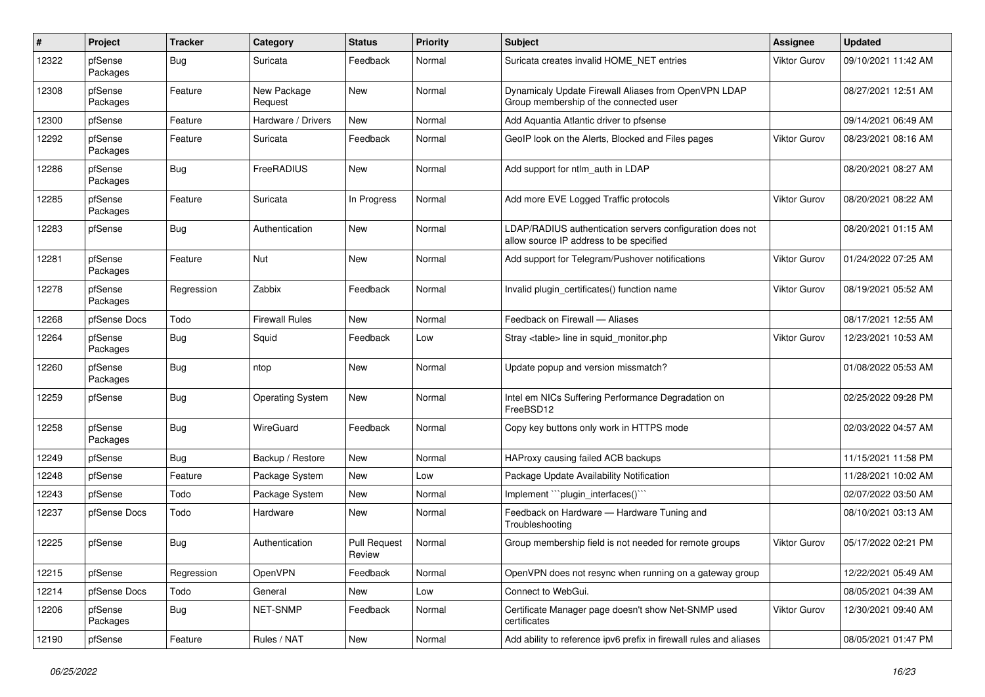| #     | Project             | <b>Tracker</b> | Category                | <b>Status</b>                 | <b>Priority</b> | <b>Subject</b>                                                                                       | Assignee            | <b>Updated</b>      |
|-------|---------------------|----------------|-------------------------|-------------------------------|-----------------|------------------------------------------------------------------------------------------------------|---------------------|---------------------|
| 12322 | pfSense<br>Packages | <b>Bug</b>     | Suricata                | Feedback                      | Normal          | Suricata creates invalid HOME NET entries                                                            | <b>Viktor Gurov</b> | 09/10/2021 11:42 AM |
| 12308 | pfSense<br>Packages | Feature        | New Package<br>Request  | <b>New</b>                    | Normal          | Dynamicaly Update Firewall Aliases from OpenVPN LDAP<br>Group membership of the connected user       |                     | 08/27/2021 12:51 AM |
| 12300 | pfSense             | Feature        | Hardware / Drivers      | New                           | Normal          | Add Aquantia Atlantic driver to pfsense                                                              |                     | 09/14/2021 06:49 AM |
| 12292 | pfSense<br>Packages | Feature        | Suricata                | Feedback                      | Normal          | GeoIP look on the Alerts, Blocked and Files pages                                                    | <b>Viktor Gurov</b> | 08/23/2021 08:16 AM |
| 12286 | pfSense<br>Packages | <b>Bug</b>     | FreeRADIUS              | New                           | Normal          | Add support for ntlm auth in LDAP                                                                    |                     | 08/20/2021 08:27 AM |
| 12285 | pfSense<br>Packages | Feature        | Suricata                | In Progress                   | Normal          | Add more EVE Logged Traffic protocols                                                                | Viktor Gurov        | 08/20/2021 08:22 AM |
| 12283 | pfSense             | Bug            | Authentication          | New                           | Normal          | LDAP/RADIUS authentication servers configuration does not<br>allow source IP address to be specified |                     | 08/20/2021 01:15 AM |
| 12281 | pfSense<br>Packages | Feature        | Nut                     | New                           | Normal          | Add support for Telegram/Pushover notifications                                                      | Viktor Gurov        | 01/24/2022 07:25 AM |
| 12278 | pfSense<br>Packages | Regression     | Zabbix                  | Feedback                      | Normal          | Invalid plugin_certificates() function name                                                          | Viktor Gurov        | 08/19/2021 05:52 AM |
| 12268 | pfSense Docs        | Todo           | <b>Firewall Rules</b>   | New                           | Normal          | Feedback on Firewall - Aliases                                                                       |                     | 08/17/2021 12:55 AM |
| 12264 | pfSense<br>Packages | Bug            | Squid                   | Feedback                      | Low             | Stray <table> line in squid monitor.php</table>                                                      | <b>Viktor Gurov</b> | 12/23/2021 10:53 AM |
| 12260 | pfSense<br>Packages | Bug            | ntop                    | New                           | Normal          | Update popup and version missmatch?                                                                  |                     | 01/08/2022 05:53 AM |
| 12259 | pfSense             | Bug            | <b>Operating System</b> | New                           | Normal          | Intel em NICs Suffering Performance Degradation on<br>FreeBSD12                                      |                     | 02/25/2022 09:28 PM |
| 12258 | pfSense<br>Packages | <b>Bug</b>     | WireGuard               | Feedback                      | Normal          | Copy key buttons only work in HTTPS mode                                                             |                     | 02/03/2022 04:57 AM |
| 12249 | pfSense             | <b>Bug</b>     | Backup / Restore        | New                           | Normal          | HAProxy causing failed ACB backups                                                                   |                     | 11/15/2021 11:58 PM |
| 12248 | pfSense             | Feature        | Package System          | New                           | Low             | Package Update Availability Notification                                                             |                     | 11/28/2021 10:02 AM |
| 12243 | pfSense             | Todo           | Package System          | New                           | Normal          | Implement "``plugin_interfaces()```                                                                  |                     | 02/07/2022 03:50 AM |
| 12237 | pfSense Docs        | Todo           | Hardware                | New                           | Normal          | Feedback on Hardware - Hardware Tuning and<br>Troubleshooting                                        |                     | 08/10/2021 03:13 AM |
| 12225 | pfSense             | <b>Bug</b>     | Authentication          | <b>Pull Request</b><br>Review | Normal          | Group membership field is not needed for remote groups                                               | <b>Viktor Gurov</b> | 05/17/2022 02:21 PM |
| 12215 | pfSense             | Regression     | OpenVPN                 | Feedback                      | Normal          | OpenVPN does not resync when running on a gateway group                                              |                     | 12/22/2021 05:49 AM |
| 12214 | pfSense Docs        | Todo           | General                 | New                           | Low             | Connect to WebGui.                                                                                   |                     | 08/05/2021 04:39 AM |
| 12206 | pfSense<br>Packages | <b>Bug</b>     | NET-SNMP                | Feedback                      | Normal          | Certificate Manager page doesn't show Net-SNMP used<br>certificates                                  | <b>Viktor Gurov</b> | 12/30/2021 09:40 AM |
| 12190 | pfSense             | Feature        | Rules / NAT             | New                           | Normal          | Add ability to reference ipv6 prefix in firewall rules and aliases                                   |                     | 08/05/2021 01:47 PM |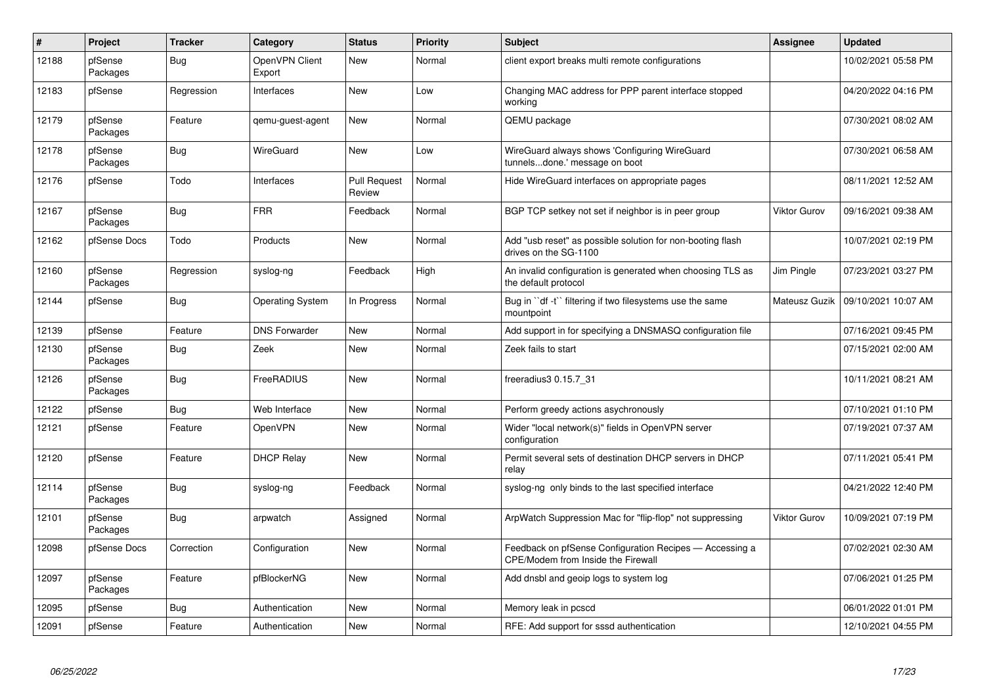| $\#$  | Project             | <b>Tracker</b> | Category                 | <b>Status</b>                 | <b>Priority</b> | <b>Subject</b>                                                                                | Assignee      | <b>Updated</b>      |
|-------|---------------------|----------------|--------------------------|-------------------------------|-----------------|-----------------------------------------------------------------------------------------------|---------------|---------------------|
| 12188 | pfSense<br>Packages | <b>Bug</b>     | OpenVPN Client<br>Export | New                           | Normal          | client export breaks multi remote configurations                                              |               | 10/02/2021 05:58 PM |
| 12183 | pfSense             | Regression     | Interfaces               | New                           | Low             | Changing MAC address for PPP parent interface stopped<br>working                              |               | 04/20/2022 04:16 PM |
| 12179 | pfSense<br>Packages | Feature        | gemu-guest-agent         | New                           | Normal          | QEMU package                                                                                  |               | 07/30/2021 08:02 AM |
| 12178 | pfSense<br>Packages | <b>Bug</b>     | WireGuard                | New                           | Low             | WireGuard always shows 'Configuring WireGuard<br>tunnelsdone.' message on boot                |               | 07/30/2021 06:58 AM |
| 12176 | pfSense             | Todo           | Interfaces               | <b>Pull Request</b><br>Review | Normal          | Hide WireGuard interfaces on appropriate pages                                                |               | 08/11/2021 12:52 AM |
| 12167 | pfSense<br>Packages | <b>Bug</b>     | <b>FRR</b>               | Feedback                      | Normal          | BGP TCP setkey not set if neighbor is in peer group                                           | Viktor Gurov  | 09/16/2021 09:38 AM |
| 12162 | pfSense Docs        | Todo           | Products                 | <b>New</b>                    | Normal          | Add "usb reset" as possible solution for non-booting flash<br>drives on the SG-1100           |               | 10/07/2021 02:19 PM |
| 12160 | pfSense<br>Packages | Regression     | syslog-ng                | Feedback                      | High            | An invalid configuration is generated when choosing TLS as<br>the default protocol            | Jim Pingle    | 07/23/2021 03:27 PM |
| 12144 | pfSense             | Bug            | <b>Operating System</b>  | In Progress                   | Normal          | Bug in "df -t" filtering if two filesystems use the same<br>mountpoint                        | Mateusz Guzik | 09/10/2021 10:07 AM |
| 12139 | pfSense             | Feature        | <b>DNS Forwarder</b>     | New                           | Normal          | Add support in for specifying a DNSMASQ configuration file                                    |               | 07/16/2021 09:45 PM |
| 12130 | pfSense<br>Packages | Bug            | Zeek                     | New                           | Normal          | Zeek fails to start                                                                           |               | 07/15/2021 02:00 AM |
| 12126 | pfSense<br>Packages | Bug            | FreeRADIUS               | New                           | Normal          | freeradius3 0.15.7 31                                                                         |               | 10/11/2021 08:21 AM |
| 12122 | pfSense             | Bug            | Web Interface            | New                           | Normal          | Perform greedy actions asychronously                                                          |               | 07/10/2021 01:10 PM |
| 12121 | pfSense             | Feature        | OpenVPN                  | <b>New</b>                    | Normal          | Wider "local network(s)" fields in OpenVPN server<br>configuration                            |               | 07/19/2021 07:37 AM |
| 12120 | pfSense             | Feature        | <b>DHCP Relay</b>        | New                           | Normal          | Permit several sets of destination DHCP servers in DHCP<br>relay                              |               | 07/11/2021 05:41 PM |
| 12114 | pfSense<br>Packages | Bug            | syslog-ng                | Feedback                      | Normal          | syslog-ng only binds to the last specified interface                                          |               | 04/21/2022 12:40 PM |
| 12101 | pfSense<br>Packages | Bug            | arpwatch                 | Assigned                      | Normal          | ArpWatch Suppression Mac for "flip-flop" not suppressing                                      | Viktor Gurov  | 10/09/2021 07:19 PM |
| 12098 | pfSense Docs        | Correction     | Configuration            | New                           | Normal          | Feedback on pfSense Configuration Recipes - Accessing a<br>CPE/Modem from Inside the Firewall |               | 07/02/2021 02:30 AM |
| 12097 | pfSense<br>Packages | Feature        | pfBlockerNG              | <b>New</b>                    | Normal          | Add dnsbl and geoip logs to system log                                                        |               | 07/06/2021 01:25 PM |
| 12095 | pfSense             | <b>Bug</b>     | Authentication           | New                           | Normal          | Memory leak in pcscd                                                                          |               | 06/01/2022 01:01 PM |
| 12091 | pfSense             | Feature        | Authentication           | New                           | Normal          | RFE: Add support for sssd authentication                                                      |               | 12/10/2021 04:55 PM |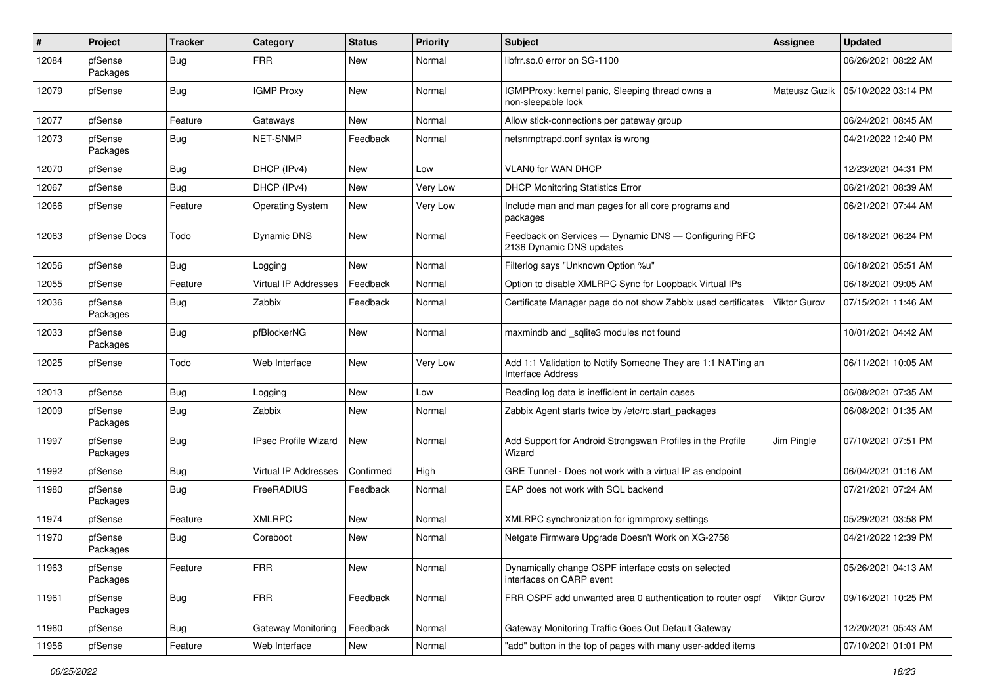| $\#$  | Project             | <b>Tracker</b> | Category                    | <b>Status</b> | <b>Priority</b> | <b>Subject</b>                                                                           | Assignee             | <b>Updated</b>      |
|-------|---------------------|----------------|-----------------------------|---------------|-----------------|------------------------------------------------------------------------------------------|----------------------|---------------------|
| 12084 | pfSense<br>Packages | <b>Bug</b>     | <b>FRR</b>                  | New           | Normal          | libfrr.so.0 error on SG-1100                                                             |                      | 06/26/2021 08:22 AM |
| 12079 | pfSense             | <b>Bug</b>     | <b>IGMP Proxy</b>           | New           | Normal          | IGMPProxy: kernel panic, Sleeping thread owns a<br>non-sleepable lock                    | <b>Mateusz Guzik</b> | 05/10/2022 03:14 PM |
| 12077 | pfSense             | Feature        | Gateways                    | New           | Normal          | Allow stick-connections per gateway group                                                |                      | 06/24/2021 08:45 AM |
| 12073 | pfSense<br>Packages | Bug            | NET-SNMP                    | Feedback      | Normal          | netsnmptrapd.conf syntax is wrong                                                        |                      | 04/21/2022 12:40 PM |
| 12070 | pfSense             | <b>Bug</b>     | DHCP (IPv4)                 | New           | Low             | <b>VLAN0 for WAN DHCP</b>                                                                |                      | 12/23/2021 04:31 PM |
| 12067 | pfSense             | <b>Bug</b>     | DHCP (IPv4)                 | New           | Very Low        | <b>DHCP Monitoring Statistics Error</b>                                                  |                      | 06/21/2021 08:39 AM |
| 12066 | pfSense             | Feature        | <b>Operating System</b>     | New           | Very Low        | Include man and man pages for all core programs and<br>packages                          |                      | 06/21/2021 07:44 AM |
| 12063 | pfSense Docs        | Todo           | Dynamic DNS                 | New           | Normal          | Feedback on Services - Dynamic DNS - Configuring RFC<br>2136 Dynamic DNS updates         |                      | 06/18/2021 06:24 PM |
| 12056 | pfSense             | Bug            | Logging                     | New           | Normal          | Filterlog says "Unknown Option %u"                                                       |                      | 06/18/2021 05:51 AM |
| 12055 | pfSense             | Feature        | <b>Virtual IP Addresses</b> | Feedback      | Normal          | Option to disable XMLRPC Sync for Loopback Virtual IPs                                   |                      | 06/18/2021 09:05 AM |
| 12036 | pfSense<br>Packages | Bug            | Zabbix                      | Feedback      | Normal          | Certificate Manager page do not show Zabbix used certificates                            | Viktor Gurov         | 07/15/2021 11:46 AM |
| 12033 | pfSense<br>Packages | <b>Bug</b>     | pfBlockerNG                 | New           | Normal          | maxmindb and _sqlite3 modules not found                                                  |                      | 10/01/2021 04:42 AM |
| 12025 | pfSense             | Todo           | Web Interface               | New           | Very Low        | Add 1:1 Validation to Notify Someone They are 1:1 NAT'ing an<br><b>Interface Address</b> |                      | 06/11/2021 10:05 AM |
| 12013 | pfSense             | Bug            | Logging                     | New           | Low             | Reading log data is inefficient in certain cases                                         |                      | 06/08/2021 07:35 AM |
| 12009 | pfSense<br>Packages | <b>Bug</b>     | Zabbix                      | New           | Normal          | Zabbix Agent starts twice by /etc/rc.start packages                                      |                      | 06/08/2021 01:35 AM |
| 11997 | pfSense<br>Packages | <b>Bug</b>     | <b>IPsec Profile Wizard</b> | New           | Normal          | Add Support for Android Strongswan Profiles in the Profile<br>Wizard                     | Jim Pingle           | 07/10/2021 07:51 PM |
| 11992 | pfSense             | <b>Bug</b>     | <b>Virtual IP Addresses</b> | Confirmed     | High            | GRE Tunnel - Does not work with a virtual IP as endpoint                                 |                      | 06/04/2021 01:16 AM |
| 11980 | pfSense<br>Packages | <b>Bug</b>     | FreeRADIUS                  | Feedback      | Normal          | EAP does not work with SQL backend                                                       |                      | 07/21/2021 07:24 AM |
| 11974 | pfSense             | Feature        | <b>XMLRPC</b>               | New           | Normal          | XMLRPC synchronization for igmmproxy settings                                            |                      | 05/29/2021 03:58 PM |
| 11970 | pfSense<br>Packages | <b>Bug</b>     | Coreboot                    | New           | Normal          | Netgate Firmware Upgrade Doesn't Work on XG-2758                                         |                      | 04/21/2022 12:39 PM |
| 11963 | pfSense<br>Packages | Feature        | <b>FRR</b>                  | New           | Normal          | Dynamically change OSPF interface costs on selected<br>interfaces on CARP event          |                      | 05/26/2021 04:13 AM |
| 11961 | pfSense<br>Packages | <b>Bug</b>     | <b>FRR</b>                  | Feedback      | Normal          | FRR OSPF add unwanted area 0 authentication to router ospf                               | Viktor Gurov         | 09/16/2021 10:25 PM |
| 11960 | pfSense             | <b>Bug</b>     | Gateway Monitoring          | Feedback      | Normal          | Gateway Monitoring Traffic Goes Out Default Gateway                                      |                      | 12/20/2021 05:43 AM |
| 11956 | pfSense             | Feature        | Web Interface               | New           | Normal          | "add" button in the top of pages with many user-added items                              |                      | 07/10/2021 01:01 PM |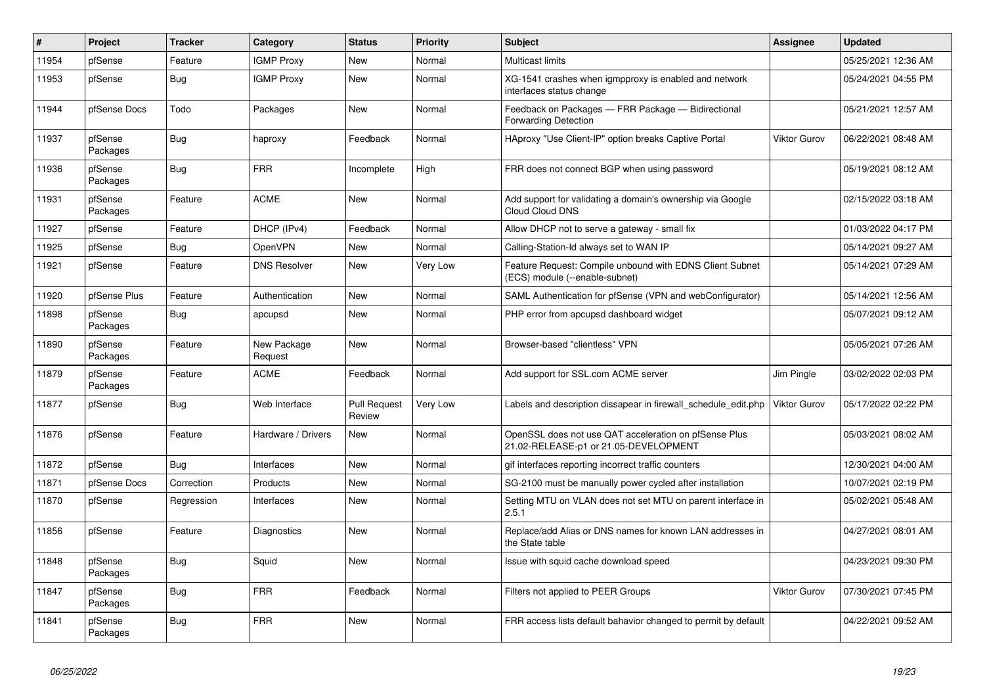| #     | Project             | <b>Tracker</b> | Category               | <b>Status</b>                 | <b>Priority</b> | <b>Subject</b>                                                                                 | <b>Assignee</b> | <b>Updated</b>      |
|-------|---------------------|----------------|------------------------|-------------------------------|-----------------|------------------------------------------------------------------------------------------------|-----------------|---------------------|
| 11954 | pfSense             | Feature        | <b>IGMP Proxy</b>      | <b>New</b>                    | Normal          | <b>Multicast limits</b>                                                                        |                 | 05/25/2021 12:36 AM |
| 11953 | pfSense             | Bug            | <b>IGMP Proxy</b>      | <b>New</b>                    | Normal          | XG-1541 crashes when igmpproxy is enabled and network<br>interfaces status change              |                 | 05/24/2021 04:55 PM |
| 11944 | pfSense Docs        | Todo           | Packages               | New                           | Normal          | Feedback on Packages - FRR Package - Bidirectional<br><b>Forwarding Detection</b>              |                 | 05/21/2021 12:57 AM |
| 11937 | pfSense<br>Packages | <b>Bug</b>     | haproxy                | Feedback                      | Normal          | HAproxy "Use Client-IP" option breaks Captive Portal                                           | Viktor Gurov    | 06/22/2021 08:48 AM |
| 11936 | pfSense<br>Packages | <b>Bug</b>     | <b>FRR</b>             | Incomplete                    | High            | FRR does not connect BGP when using password                                                   |                 | 05/19/2021 08:12 AM |
| 11931 | pfSense<br>Packages | Feature        | <b>ACME</b>            | New                           | Normal          | Add support for validating a domain's ownership via Google<br>Cloud Cloud DNS                  |                 | 02/15/2022 03:18 AM |
| 11927 | pfSense             | Feature        | DHCP (IPv4)            | Feedback                      | Normal          | Allow DHCP not to serve a gateway - small fix                                                  |                 | 01/03/2022 04:17 PM |
| 11925 | pfSense             | <b>Bug</b>     | OpenVPN                | New                           | Normal          | Calling-Station-Id always set to WAN IP                                                        |                 | 05/14/2021 09:27 AM |
| 11921 | pfSense             | Feature        | <b>DNS Resolver</b>    | <b>New</b>                    | Very Low        | Feature Request: Compile unbound with EDNS Client Subnet<br>(ECS) module (--enable-subnet)     |                 | 05/14/2021 07:29 AM |
| 11920 | pfSense Plus        | Feature        | Authentication         | New                           | Normal          | SAML Authentication for pfSense (VPN and webConfigurator)                                      |                 | 05/14/2021 12:56 AM |
| 11898 | pfSense<br>Packages | <b>Bug</b>     | apcupsd                | New                           | Normal          | PHP error from apcupsd dashboard widget                                                        |                 | 05/07/2021 09:12 AM |
| 11890 | pfSense<br>Packages | Feature        | New Package<br>Request | New                           | Normal          | Browser-based "clientless" VPN                                                                 |                 | 05/05/2021 07:26 AM |
| 11879 | pfSense<br>Packages | Feature        | <b>ACME</b>            | Feedback                      | Normal          | Add support for SSL.com ACME server                                                            | Jim Pingle      | 03/02/2022 02:03 PM |
| 11877 | pfSense             | Bug            | Web Interface          | <b>Pull Request</b><br>Review | Very Low        | Labels and description dissapear in firewall schedule edit.php                                 | Viktor Gurov    | 05/17/2022 02:22 PM |
| 11876 | pfSense             | Feature        | Hardware / Drivers     | New                           | Normal          | OpenSSL does not use QAT acceleration on pfSense Plus<br>21.02-RELEASE-p1 or 21.05-DEVELOPMENT |                 | 05/03/2021 08:02 AM |
| 11872 | pfSense             | <b>Bug</b>     | Interfaces             | <b>New</b>                    | Normal          | gif interfaces reporting incorrect traffic counters                                            |                 | 12/30/2021 04:00 AM |
| 11871 | pfSense Docs        | Correction     | Products               | New                           | Normal          | SG-2100 must be manually power cycled after installation                                       |                 | 10/07/2021 02:19 PM |
| 11870 | pfSense             | Regression     | Interfaces             | New                           | Normal          | Setting MTU on VLAN does not set MTU on parent interface in<br>2.5.1                           |                 | 05/02/2021 05:48 AM |
| 11856 | pfSense             | Feature        | Diagnostics            | <b>New</b>                    | Normal          | Replace/add Alias or DNS names for known LAN addresses in<br>the State table                   |                 | 04/27/2021 08:01 AM |
| 11848 | pfSense<br>Packages | <b>Bug</b>     | Squid                  | <b>New</b>                    | Normal          | Issue with squid cache download speed                                                          |                 | 04/23/2021 09:30 PM |
| 11847 | pfSense<br>Packages | <b>Bug</b>     | <b>FRR</b>             | Feedback                      | Normal          | Filters not applied to PEER Groups                                                             | Viktor Gurov    | 07/30/2021 07:45 PM |
| 11841 | pfSense<br>Packages | Bug            | <b>FRR</b>             | New                           | Normal          | FRR access lists default bahavior changed to permit by default                                 |                 | 04/22/2021 09:52 AM |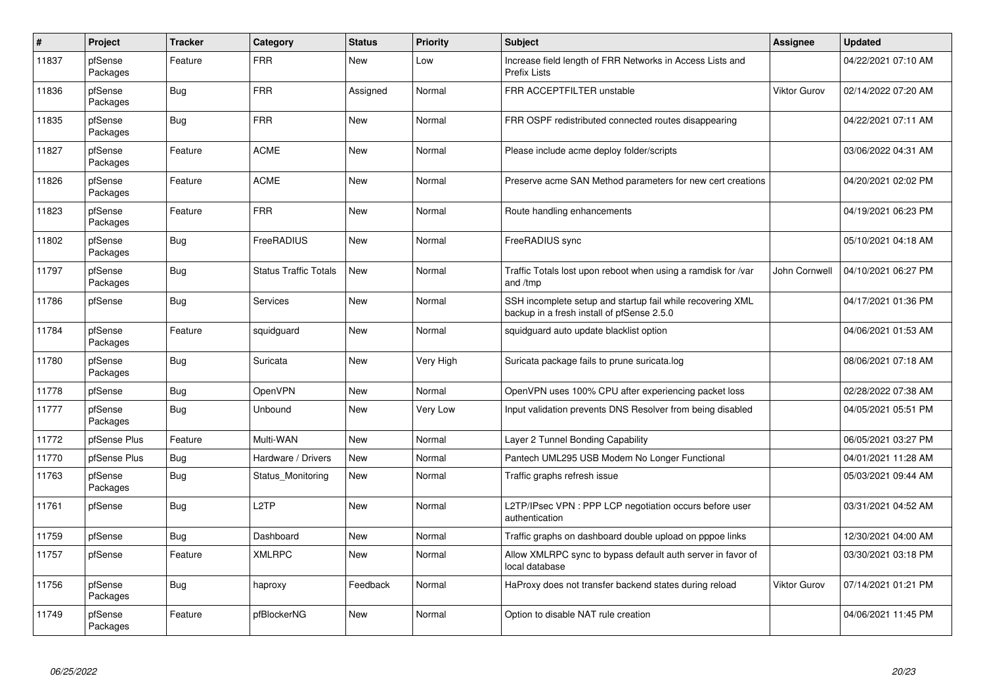| $\vert$ # | Project             | <b>Tracker</b> | Category                     | <b>Status</b> | <b>Priority</b> | <b>Subject</b>                                                                                           | <b>Assignee</b> | <b>Updated</b>      |
|-----------|---------------------|----------------|------------------------------|---------------|-----------------|----------------------------------------------------------------------------------------------------------|-----------------|---------------------|
| 11837     | pfSense<br>Packages | Feature        | <b>FRR</b>                   | New           | Low             | Increase field length of FRR Networks in Access Lists and<br><b>Prefix Lists</b>                         |                 | 04/22/2021 07:10 AM |
| 11836     | pfSense<br>Packages | Bug            | <b>FRR</b>                   | Assigned      | Normal          | FRR ACCEPTFILTER unstable                                                                                | Viktor Gurov    | 02/14/2022 07:20 AM |
| 11835     | pfSense<br>Packages | <b>Bug</b>     | <b>FRR</b>                   | <b>New</b>    | Normal          | FRR OSPF redistributed connected routes disappearing                                                     |                 | 04/22/2021 07:11 AM |
| 11827     | pfSense<br>Packages | Feature        | <b>ACME</b>                  | <b>New</b>    | Normal          | Please include acme deploy folder/scripts                                                                |                 | 03/06/2022 04:31 AM |
| 11826     | pfSense<br>Packages | Feature        | <b>ACME</b>                  | New           | Normal          | Preserve acme SAN Method parameters for new cert creations                                               |                 | 04/20/2021 02:02 PM |
| 11823     | pfSense<br>Packages | Feature        | <b>FRR</b>                   | New           | Normal          | Route handling enhancements                                                                              |                 | 04/19/2021 06:23 PM |
| 11802     | pfSense<br>Packages | <b>Bug</b>     | FreeRADIUS                   | <b>New</b>    | Normal          | FreeRADIUS sync                                                                                          |                 | 05/10/2021 04:18 AM |
| 11797     | pfSense<br>Packages | <b>Bug</b>     | <b>Status Traffic Totals</b> | <b>New</b>    | Normal          | Traffic Totals lost upon reboot when using a ramdisk for /var<br>and /tmp                                | John Cornwell   | 04/10/2021 06:27 PM |
| 11786     | pfSense             | Bug            | Services                     | <b>New</b>    | Normal          | SSH incomplete setup and startup fail while recovering XML<br>backup in a fresh install of pfSense 2.5.0 |                 | 04/17/2021 01:36 PM |
| 11784     | pfSense<br>Packages | Feature        | squidguard                   | New           | Normal          | squidguard auto update blacklist option                                                                  |                 | 04/06/2021 01:53 AM |
| 11780     | pfSense<br>Packages | <b>Bug</b>     | Suricata                     | New           | Very High       | Suricata package fails to prune suricata.log                                                             |                 | 08/06/2021 07:18 AM |
| 11778     | pfSense             | <b>Bug</b>     | OpenVPN                      | <b>New</b>    | Normal          | OpenVPN uses 100% CPU after experiencing packet loss                                                     |                 | 02/28/2022 07:38 AM |
| 11777     | pfSense<br>Packages | <b>Bug</b>     | Unbound                      | New           | Very Low        | Input validation prevents DNS Resolver from being disabled                                               |                 | 04/05/2021 05:51 PM |
| 11772     | pfSense Plus        | Feature        | Multi-WAN                    | <b>New</b>    | Normal          | Layer 2 Tunnel Bonding Capability                                                                        |                 | 06/05/2021 03:27 PM |
| 11770     | pfSense Plus        | <b>Bug</b>     | Hardware / Drivers           | New           | Normal          | Pantech UML295 USB Modem No Longer Functional                                                            |                 | 04/01/2021 11:28 AM |
| 11763     | pfSense<br>Packages | Bug            | Status Monitoring            | New           | Normal          | Traffic graphs refresh issue                                                                             |                 | 05/03/2021 09:44 AM |
| 11761     | pfSense             | <b>Bug</b>     | L <sub>2</sub> TP            | New           | Normal          | L2TP/IPsec VPN: PPP LCP negotiation occurs before user<br>authentication                                 |                 | 03/31/2021 04:52 AM |
| 11759     | pfSense             | Bug            | Dashboard                    | <b>New</b>    | Normal          | Traffic graphs on dashboard double upload on pppoe links                                                 |                 | 12/30/2021 04:00 AM |
| 11757     | pfSense             | Feature        | <b>XMLRPC</b>                | <b>New</b>    | Normal          | Allow XMLRPC sync to bypass default auth server in favor of<br>local database                            |                 | 03/30/2021 03:18 PM |
| 11756     | pfSense<br>Packages | Bug            | haproxy                      | Feedback      | Normal          | HaProxy does not transfer backend states during reload                                                   | Viktor Gurov    | 07/14/2021 01:21 PM |
| 11749     | pfSense<br>Packages | Feature        | pfBlockerNG                  | <b>New</b>    | Normal          | Option to disable NAT rule creation                                                                      |                 | 04/06/2021 11:45 PM |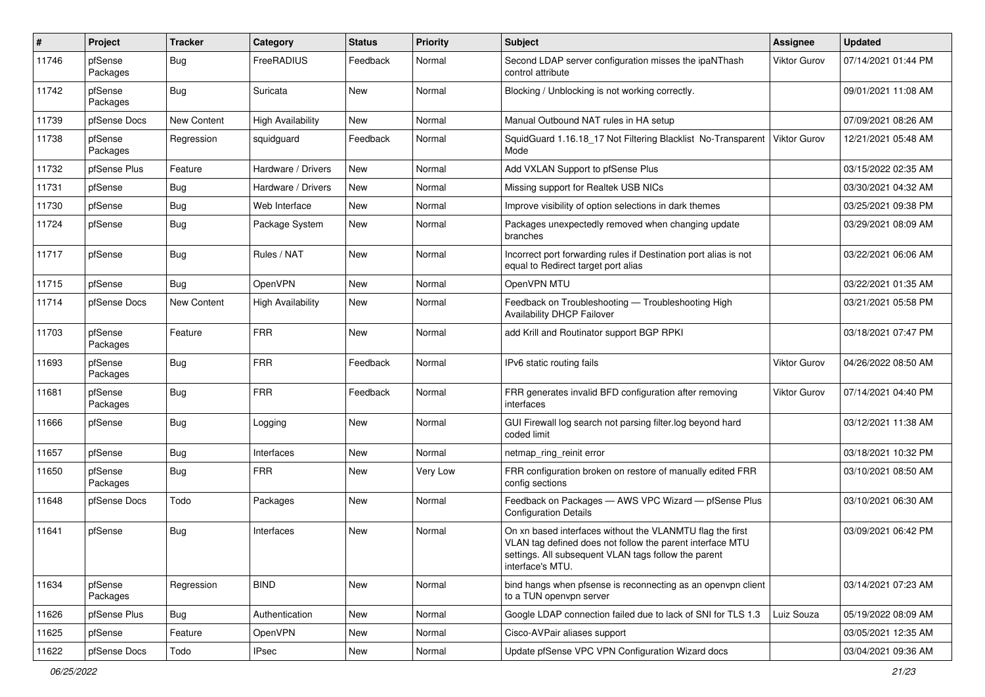| #     | Project             | <b>Tracker</b> | Category                 | <b>Status</b> | <b>Priority</b> | <b>Subject</b>                                                                                                                                                                                     | <b>Assignee</b> | <b>Updated</b>      |
|-------|---------------------|----------------|--------------------------|---------------|-----------------|----------------------------------------------------------------------------------------------------------------------------------------------------------------------------------------------------|-----------------|---------------------|
| 11746 | pfSense<br>Packages | <b>Bug</b>     | FreeRADIUS               | Feedback      | Normal          | Second LDAP server configuration misses the ipaNThash<br>control attribute                                                                                                                         | Viktor Gurov    | 07/14/2021 01:44 PM |
| 11742 | pfSense<br>Packages | Bug            | Suricata                 | New           | Normal          | Blocking / Unblocking is not working correctly.                                                                                                                                                    |                 | 09/01/2021 11:08 AM |
| 11739 | pfSense Docs        | New Content    | <b>High Availability</b> | New           | Normal          | Manual Outbound NAT rules in HA setup                                                                                                                                                              |                 | 07/09/2021 08:26 AM |
| 11738 | pfSense<br>Packages | Regression     | squidguard               | Feedback      | Normal          | SquidGuard 1.16.18 17 Not Filtering Blacklist No-Transparent<br>Mode                                                                                                                               | Viktor Gurov    | 12/21/2021 05:48 AM |
| 11732 | pfSense Plus        | Feature        | Hardware / Drivers       | New           | Normal          | Add VXLAN Support to pfSense Plus                                                                                                                                                                  |                 | 03/15/2022 02:35 AM |
| 11731 | pfSense             | <b>Bug</b>     | Hardware / Drivers       | New           | Normal          | Missing support for Realtek USB NICs                                                                                                                                                               |                 | 03/30/2021 04:32 AM |
| 11730 | pfSense             | Bug            | Web Interface            | New           | Normal          | Improve visibility of option selections in dark themes                                                                                                                                             |                 | 03/25/2021 09:38 PM |
| 11724 | pfSense             | Bug            | Package System           | New           | Normal          | Packages unexpectedly removed when changing update<br>branches                                                                                                                                     |                 | 03/29/2021 08:09 AM |
| 11717 | pfSense             | Bug            | Rules / NAT              | New           | Normal          | Incorrect port forwarding rules if Destination port alias is not<br>equal to Redirect target port alias                                                                                            |                 | 03/22/2021 06:06 AM |
| 11715 | pfSense             | Bug            | OpenVPN                  | New           | Normal          | OpenVPN MTU                                                                                                                                                                                        |                 | 03/22/2021 01:35 AM |
| 11714 | pfSense Docs        | New Content    | <b>High Availability</b> | New           | Normal          | Feedback on Troubleshooting - Troubleshooting High<br><b>Availability DHCP Failover</b>                                                                                                            |                 | 03/21/2021 05:58 PM |
| 11703 | pfSense<br>Packages | Feature        | <b>FRR</b>               | <b>New</b>    | Normal          | add Krill and Routinator support BGP RPKI                                                                                                                                                          |                 | 03/18/2021 07:47 PM |
| 11693 | pfSense<br>Packages | Bug            | <b>FRR</b>               | Feedback      | Normal          | IPv6 static routing fails                                                                                                                                                                          | Viktor Gurov    | 04/26/2022 08:50 AM |
| 11681 | pfSense<br>Packages | Bug            | <b>FRR</b>               | Feedback      | Normal          | FRR generates invalid BFD configuration after removing<br>interfaces                                                                                                                               | Viktor Gurov    | 07/14/2021 04:40 PM |
| 11666 | pfSense             | Bug            | Logging                  | <b>New</b>    | Normal          | GUI Firewall log search not parsing filter.log beyond hard<br>coded limit                                                                                                                          |                 | 03/12/2021 11:38 AM |
| 11657 | pfSense             | Bug            | Interfaces               | New           | Normal          | netmap_ring_reinit error                                                                                                                                                                           |                 | 03/18/2021 10:32 PM |
| 11650 | pfSense<br>Packages | Bug            | <b>FRR</b>               | New           | Very Low        | FRR configuration broken on restore of manually edited FRR<br>config sections                                                                                                                      |                 | 03/10/2021 08:50 AM |
| 11648 | pfSense Docs        | Todo           | Packages                 | New           | Normal          | Feedback on Packages - AWS VPC Wizard - pfSense Plus<br><b>Configuration Details</b>                                                                                                               |                 | 03/10/2021 06:30 AM |
| 11641 | pfSense             | <b>Bug</b>     | Interfaces               | <b>New</b>    | Normal          | On xn based interfaces without the VLANMTU flag the first<br>VLAN tag defined does not follow the parent interface MTU<br>settings. All subsequent VLAN tags follow the parent<br>interface's MTU. |                 | 03/09/2021 06:42 PM |
| 11634 | pfSense<br>Packages | Regression     | <b>BIND</b>              | New           | Normal          | bind hangs when pfsense is reconnecting as an openvpn client<br>to a TUN openvpn server                                                                                                            |                 | 03/14/2021 07:23 AM |
| 11626 | pfSense Plus        | Bug            | Authentication           | New           | Normal          | Google LDAP connection failed due to lack of SNI for TLS 1.3                                                                                                                                       | Luiz Souza      | 05/19/2022 08:09 AM |
| 11625 | pfSense             | Feature        | OpenVPN                  | New           | Normal          | Cisco-AVPair aliases support                                                                                                                                                                       |                 | 03/05/2021 12:35 AM |
| 11622 | pfSense Docs        | Todo           | <b>IPsec</b>             | New           | Normal          | Update pfSense VPC VPN Configuration Wizard docs                                                                                                                                                   |                 | 03/04/2021 09:36 AM |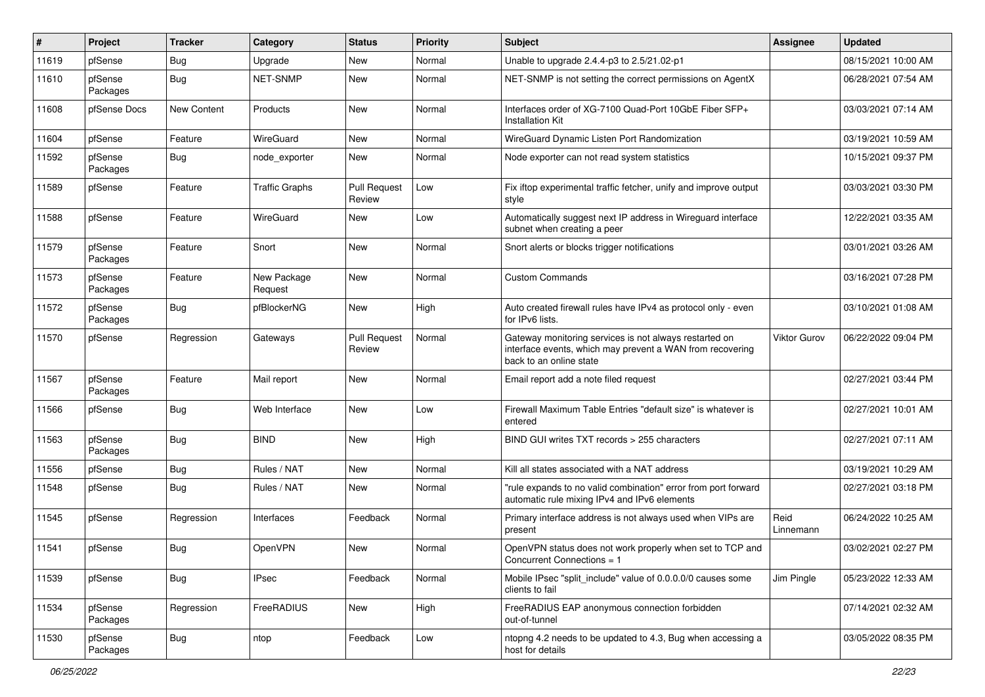| #     | Project             | <b>Tracker</b> | Category               | <b>Status</b>                 | <b>Priority</b> | <b>Subject</b>                                                                                                                                 | Assignee            | <b>Updated</b>      |
|-------|---------------------|----------------|------------------------|-------------------------------|-----------------|------------------------------------------------------------------------------------------------------------------------------------------------|---------------------|---------------------|
| 11619 | pfSense             | Bug            | Upgrade                | New                           | Normal          | Unable to upgrade 2.4.4-p3 to 2.5/21.02-p1                                                                                                     |                     | 08/15/2021 10:00 AM |
| 11610 | pfSense<br>Packages | Bug            | <b>NET-SNMP</b>        | New                           | Normal          | NET-SNMP is not setting the correct permissions on AgentX                                                                                      |                     | 06/28/2021 07:54 AM |
| 11608 | pfSense Docs        | New Content    | Products               | New                           | Normal          | Interfaces order of XG-7100 Quad-Port 10GbE Fiber SFP+<br><b>Installation Kit</b>                                                              |                     | 03/03/2021 07:14 AM |
| 11604 | pfSense             | Feature        | WireGuard              | New                           | Normal          | WireGuard Dynamic Listen Port Randomization                                                                                                    |                     | 03/19/2021 10:59 AM |
| 11592 | pfSense<br>Packages | <b>Bug</b>     | node_exporter          | New                           | Normal          | Node exporter can not read system statistics                                                                                                   |                     | 10/15/2021 09:37 PM |
| 11589 | pfSense             | Feature        | <b>Traffic Graphs</b>  | <b>Pull Request</b><br>Review | Low             | Fix iftop experimental traffic fetcher, unify and improve output<br>style                                                                      |                     | 03/03/2021 03:30 PM |
| 11588 | pfSense             | Feature        | WireGuard              | New                           | Low             | Automatically suggest next IP address in Wireguard interface<br>subnet when creating a peer                                                    |                     | 12/22/2021 03:35 AM |
| 11579 | pfSense<br>Packages | Feature        | Snort                  | New                           | Normal          | Snort alerts or blocks trigger notifications                                                                                                   |                     | 03/01/2021 03:26 AM |
| 11573 | pfSense<br>Packages | Feature        | New Package<br>Request | New                           | Normal          | <b>Custom Commands</b>                                                                                                                         |                     | 03/16/2021 07:28 PM |
| 11572 | pfSense<br>Packages | <b>Bug</b>     | pfBlockerNG            | New                           | High            | Auto created firewall rules have IPv4 as protocol only - even<br>for IPv6 lists.                                                               |                     | 03/10/2021 01:08 AM |
| 11570 | pfSense             | Regression     | Gateways               | <b>Pull Request</b><br>Review | Normal          | Gateway monitoring services is not always restarted on<br>interface events, which may prevent a WAN from recovering<br>back to an online state | <b>Viktor Gurov</b> | 06/22/2022 09:04 PM |
| 11567 | pfSense<br>Packages | Feature        | Mail report            | New                           | Normal          | Email report add a note filed request                                                                                                          |                     | 02/27/2021 03:44 PM |
| 11566 | pfSense             | <b>Bug</b>     | Web Interface          | New                           | Low             | Firewall Maximum Table Entries "default size" is whatever is<br>entered                                                                        |                     | 02/27/2021 10:01 AM |
| 11563 | pfSense<br>Packages | <b>Bug</b>     | <b>BIND</b>            | New                           | High            | BIND GUI writes TXT records > 255 characters                                                                                                   |                     | 02/27/2021 07:11 AM |
| 11556 | pfSense             | <b>Bug</b>     | Rules / NAT            | New                           | Normal          | Kill all states associated with a NAT address                                                                                                  |                     | 03/19/2021 10:29 AM |
| 11548 | pfSense             | <b>Bug</b>     | Rules / NAT            | New                           | Normal          | "rule expands to no valid combination" error from port forward<br>automatic rule mixing IPv4 and IPv6 elements                                 |                     | 02/27/2021 03:18 PM |
| 11545 | pfSense             | Regression     | Interfaces             | Feedback                      | Normal          | Primary interface address is not always used when VIPs are<br>present                                                                          | Reid<br>Linnemann   | 06/24/2022 10:25 AM |
| 11541 | pfSense             | <b>Bug</b>     | OpenVPN                | New                           | Normal          | OpenVPN status does not work properly when set to TCP and<br>Concurrent Connections = 1                                                        |                     | 03/02/2021 02:27 PM |
| 11539 | pfSense             | <b>Bug</b>     | <b>IPsec</b>           | Feedback                      | Normal          | Mobile IPsec "split include" value of 0.0.0.0/0 causes some<br>clients to fail                                                                 | Jim Pingle          | 05/23/2022 12:33 AM |
| 11534 | pfSense<br>Packages | Regression     | FreeRADIUS             | New                           | High            | FreeRADIUS EAP anonymous connection forbidden<br>out-of-tunnel                                                                                 |                     | 07/14/2021 02:32 AM |
| 11530 | pfSense<br>Packages | <b>Bug</b>     | ntop                   | Feedback                      | Low             | ntopng 4.2 needs to be updated to 4.3, Bug when accessing a<br>host for details                                                                |                     | 03/05/2022 08:35 PM |